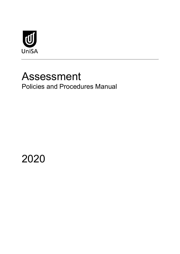

# Assessment Policies and Procedures Manual

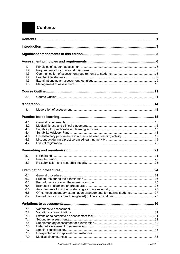## <span id="page-2-0"></span>**Contents**

| 1.1        |                                                                       |    |  |  |  |
|------------|-----------------------------------------------------------------------|----|--|--|--|
| 1.2        |                                                                       |    |  |  |  |
| 1.3        |                                                                       |    |  |  |  |
| 1.4        |                                                                       |    |  |  |  |
| 1.5        |                                                                       |    |  |  |  |
| 1.6        |                                                                       |    |  |  |  |
|            |                                                                       |    |  |  |  |
| 2.1        |                                                                       |    |  |  |  |
|            |                                                                       |    |  |  |  |
|            |                                                                       |    |  |  |  |
| 3.1        |                                                                       |    |  |  |  |
|            |                                                                       |    |  |  |  |
| 4.1        |                                                                       |    |  |  |  |
| 4.2        |                                                                       |    |  |  |  |
| 4.3        |                                                                       |    |  |  |  |
| 4.4        |                                                                       |    |  |  |  |
| 4.5        |                                                                       |    |  |  |  |
| 4.6        |                                                                       |    |  |  |  |
| 4.7        |                                                                       |    |  |  |  |
|            |                                                                       |    |  |  |  |
| 5.1        |                                                                       |    |  |  |  |
| 5.2        |                                                                       |    |  |  |  |
| 5.3        |                                                                       |    |  |  |  |
|            |                                                                       |    |  |  |  |
|            | <b>Examination procedures </b>                                        | 24 |  |  |  |
| 6.1        |                                                                       |    |  |  |  |
| 6.2<br>6.3 |                                                                       |    |  |  |  |
| 6.4        |                                                                       |    |  |  |  |
| 6.5        |                                                                       |    |  |  |  |
| 6.6        | Off-campus secondary examination arrangements for internal students27 |    |  |  |  |
| 6.7        |                                                                       |    |  |  |  |
|            |                                                                       |    |  |  |  |
| 7.1        |                                                                       |    |  |  |  |
| 7.2        |                                                                       |    |  |  |  |
| 7.3        |                                                                       |    |  |  |  |
| 7.4        |                                                                       |    |  |  |  |
| 7.5        |                                                                       |    |  |  |  |
| 7.6        |                                                                       |    |  |  |  |
| 7.7        |                                                                       |    |  |  |  |
| 7.8        |                                                                       |    |  |  |  |
| 7.9        |                                                                       |    |  |  |  |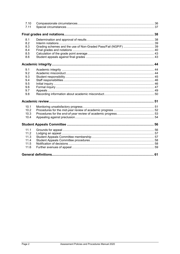| 7.10<br>7.11                                         |  |
|------------------------------------------------------|--|
|                                                      |  |
| 8.1<br>8.2<br>8.3<br>8.4<br>8.5<br>8.6               |  |
|                                                      |  |
| 9.1<br>9.2<br>9.3<br>9.4<br>9.5<br>9.6<br>9.7<br>9.8 |  |
|                                                      |  |
| 10.1<br>10.2<br>10.3<br>10.4                         |  |
|                                                      |  |
| 11.1<br>11.2<br>11.3<br>11.4<br>11.5<br>11.6         |  |
|                                                      |  |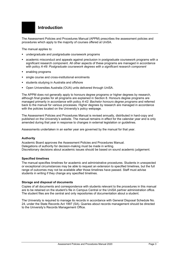<span id="page-4-0"></span>

The Assessment Policies and Procedures Manual (APPM) prescribes the assessment policies and procedures which apply to the majority of courses offered at UniSA.

The manual applies to:

- undergraduate and postgraduate coursework programs
- academic misconduct and appeals against preclusion in postgraduate coursework programs with a significant research component. All other aspects of these programs are managed in accordance with policy *A-49: Postgraduate coursework degrees with a significant research component*
- enabling programs
- single course and cross-institutional enrolments
- students studying in Australia and offshore
- Open Universities Australia (OUA) units delivered through UniSA.

The APPM does not generally apply to honours degree programs or higher degrees by research, although final grades for all programs are explained in Section 8. Honours degree programs are managed primarily in accordance with policy *A-42: Bachelor honours degree programs* and referred back to the manual for various processes*.* Higher degrees by research are managed in accordance with the policies located on the University's policy webpage*.* 

The Assessment Policies and Procedures Manual is revised annually, distributed in hard-copy and published on the University's website. The manual remains in effect for the calendar year and is only amended during that year in response to changes in external legislation or guidelines.

Assessments undertaken in an earlier year are governed by the manual for that year.

#### **Authority**

Academic Board approves the Assessment Policies and Procedures Manual. Delegations of authority for decision-making must be made in writing. Discretionary decisions about academic issues should be based on sound academic judgement.

#### **Specified timelines**

The manual specifies timelines for academic and administrative procedures. Students in unexpected or exceptional circumstances may be able to request an extension to specified timelines, but the full range of outcomes may not be available after those timelines have passed. Staff must advise students in writing if they change any specified timelines.

#### **Storage and disposal of documents**

Copies of all documents and correspondence with students relevant to the procedures in this manual are to be retained on the student's file in Campus Central or the UniSA partner administration office. The student files are the central and only repositories of documentation about a student.

The University is required to manage its records in accordance with General Disposal Schedule No. 24, under the State Records Act 1997 (SA). Queries about records management should be directed to the University's Records Management Office.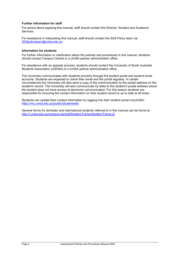#### **Further information for staff**

For advice about applying this manual, staff should contact the Director: Student and Academic Services.

For assistance in interpreting this manual, staff should contact the SAS Policy team via [SASpolicyteam@unisa.edu.au](mailto:SASpolicyteam@unisa.edu.au)

#### **Information for students**

For further information or clarification about the policies and procedures in this manual, students should contact Campus Central or a UniSA partner administration office.

For assistance with an appeals process, students should contact the University of South Australia Students Association (USASA) or a UniSA partner administration office.

The University communicates with students primarily through the student portal and student email accounts. Students are expected to check their email and the portal regularly. In certain circumstances the University will also send a copy of the communication to the postal address on the student's record. The University will also communicate by letter to the student's postal address where the student does not have access to electronic communication. For this reason students are responsible for ensuring the contact information on their student record is up to date at all times.

Students can update their contact information by logging into their student portal (myUniSA) <https://my.unisa.edu.au/public/studentweb/>

General forms for domestic and international students referred to in this manual can be found at <http://i.unisa.edu.au/campus-central/Student-Forms/Student-Forms-2/>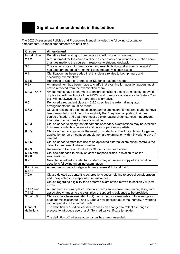<span id="page-6-0"></span>The 2020 Assessment Policies and Procedures Manual includes the following substantive amendments. Editorial amendments are not listed.

| <b>Clause</b>   | <b>Amendment</b>                                                                                                               |
|-----------------|--------------------------------------------------------------------------------------------------------------------------------|
| Introduction    | Repetitive text relating to communication with students removed.                                                               |
| 2.1.2           | A requirement for the course outline has been added to include information about                                               |
|                 | changes made to the course in response to student feedback.                                                                    |
| 5.3             | The section concerning re-marking and re-submission and academic integrity'                                                    |
|                 | has been amended as re-marking does not apply in such cases.                                                                   |
| 6.1.1           | Clarification has been added that this clause relates to both primary and                                                      |
|                 | secondary examinations.                                                                                                        |
| 6.1.5           | Reference to Code of Conduct for Students has been added.                                                                      |
| 6.3.4           | An amendment has been made to clarify that examination question papers must                                                    |
|                 | not be removed from the examination room.                                                                                      |
| $6.4.3 - 6.4.6$ | Amendments have been made to ensure consistent use of terminology, to avoid                                                    |
|                 | duplication with section 9 of the APPM, and to remove a reference to Statute 7 as                                              |
| 6.5             | this will not always be the appropriate alternative.<br>Removed a redundant clause $-6.5.6$ specifies the external invigilator |
|                 | arrangements that must be made.                                                                                                |
| 6.6.2           | Clauses relating to off-campus secondary examinations for internal students have                                               |
|                 | been amended to include in the eligibility that 'they are completing their final                                               |
|                 | course of study' and that there must be extenuating circumstances that prevent                                                 |
|                 | their return to campus for the examination.                                                                                    |
| 6.6.3           | Clause added to clarify that off-campus secondary examinations may be available                                                |
|                 | to internal students who are elite athletes or performing artists.                                                             |
| 6.6.5           | Clause added to emphasise the need for students to check results and lodge an                                                  |
|                 | application for an off-campus supplementary examination within 5 working days if                                               |
|                 | needed.                                                                                                                        |
| 6.6.6           | Clause added to state that use of an approved external examination centre is the                                               |
|                 | default arrangement where possible.                                                                                            |
| 6.7.3           | Reference to Code of Conduct for Students has been added.                                                                      |
| 6.7.5 and       | Clauses amended to clarify student's responsibilities in relation to online                                                    |
| 6.7.6           | examinations.                                                                                                                  |
| 6.7.15          | New clause added to state that students may not retain a copy of examination<br>questions following an online examination.     |
| 6.7.17 and      | Amendments made to align with new clauses 6.4.5 and 6.4.6                                                                      |
| 6.7.18          |                                                                                                                                |
| 7.2.6           | Clause deleted as content is covered by clauses relating to special consideration,                                             |
|                 | and unexpected or exceptional circumstances.                                                                                   |
| 7.2.7           | Clause regarding eligibility for a deferred examination moved to section 7.6 (new                                              |
|                 | 7.6.3)                                                                                                                         |
| 7.11.1 and      | Amendments to examples of special circumstances have been made, along with                                                     |
| 7.11.3          | associated changes to the examples of supporting evidence to be provided.                                                      |
| 9.5 and 9.6     | Clauses have been amended to (1) clarify the processes relating to investigation                                               |
|                 | of academic misconduct, and (2) add a new possible outcome, namely, a warning                                                  |
|                 | with no penalty but a record made.                                                                                             |
| General         | The definition of 'medical certificate' has been changed to reflect a change in                                                |
| definitions     | practice to introduce use of a UniSA medical certificate template.                                                             |
|                 |                                                                                                                                |
|                 | The definition of 'religious observance' has been amended.                                                                     |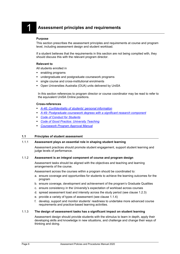#### <span id="page-7-0"></span>**Purpose**

This section prescribes the assessment principles and requirements at course and program level, including assessment design and student workload.

If a student believes that the requirements in this section are not being complied with, they should discuss this with the relevant program director.

#### **Relevant to**

All students enrolled in

- **enabling programs**
- undergraduate and postgraduate coursework programs
- single course and cross-institutional enrolments
- Open Universities Australia (OUA) units delivered by UniSA

In this section references to program director or course coordinator may be read to refer to the equivalent UniSA Online positions.

#### **Cross-references**

- *[A-46: Confidentiality of students' personal information](https://i.unisa.edu.au/policies-and-procedures/university-policies/academic/a-46/)*
- *A-49: [Postgraduate coursework degrees with a significant research component](https://i.unisa.edu.au/policies-and-procedures/university-policies/academic/a-49/)*
- *[Code of Conduct for Students](https://i.unisa.edu.au/policies-and-procedures/codes/students/)*
- *[Code of Good Practice: University Teaching](https://i.unisa.edu.au/policies-and-procedures/codes/good-practice/university-teaching/)*
- *[Coursework Program Approval Manual](https://i.unisa.edu.au/sas/Our-Activities/Programs-and-Courses/Program-and-course-approval-and-amendment/)*

#### <span id="page-7-1"></span>**1.1 Principles of student assessment**

#### 1.1.1 **Assessment plays an essential role in shaping student learning**

Assessment practices should promote student engagement, support student learning and judge levels of performance.

#### 1.1.2 **Assessment is an integral component of course and program design**

Assessment tasks should be aligned with the objectives and teaching and learning arrangements of the course.

Assessment across the courses within a program should be coordinated to:

- a. ensure coverage and opportunities for students to achieve the learning outcomes for the program
- b. ensure coverage, development and achievement of the program's Graduate Qualities
- c. ensure consistency in the University's expectation of workload across courses
- d. spread assessment load and intensity across the study period (see clause 1.2.3)
- e. provide a variety of types of assessment (see clause 1.1.4)
- f. develop, support and monitor students' readiness to undertake more advanced course requirements and practice-based learning activities.

#### 1.1.3 **The design of assessment tasks has a significant impact on student learning**

Assessment design should provide students with the stimulus to learn in depth, apply their developing skills and knowledge in new situations, and challenge and change their ways of thinking and doing.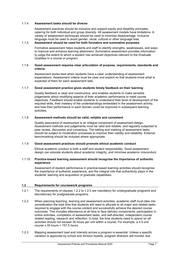#### 1.1.4 **Assessment tasks should be diverse**

Assessment practices should be inclusive and support equity and disability principles, catering for both individual and group diversity. All assessment models have limitations. A variety of assessment techniques should be used to minimise disadvantage. Inclusive language must be used to avoid gender, racial, cultural or other language bias.

#### 1.1.5 **Assessment should be used for both formative and summative purposes**

Formative assessment helps students and staff to identify strengths, weaknesses, and ways to improve and enhance learning attainment. Summative assessment provides information to judge the extent to which a student has achieved objectives relevant to the Graduate Qualities in a course or program*.* 

#### 1.1.6 **Good assessment requires clear articulation of purpose, requirements, standards and criteria**

Assessment works best when students have a clear understanding of assessment expectations. Assessment criteria must be clear and explicit so that students know what is expected of them for each assessment task.

#### 1.1.7 **Good assessment practice gives students timely feedback on their learning**

Quality feedback is clear and constructive, and enables students to make sensible judgements about modifying aspects of their academic performance to meet course objectives. Feedback should enable students to understand their level of development of the required skills, their mastery of the understandings embedded in the assessment activity, and how their performance in each domain could be improved in subsequent learning activities.

#### 1.1.8 **Assessment methods should be valid, reliable and consistent**

Quality assurance of assessment is an integral component of assessment design. Assessment methods and judgements must be valid and reliable, and regularly subjected to peer review, discussion and consensus. The setting and marking of assessment tasks should be subject to moderation processes to improve their validity and reliability. External benchmarking should be included where appropriate.

#### 1.1.9 **Good assessment practices should promote ethical academic conduct**

Ethical academic conduct is both a staff and student responsibility. Good assessment design can educate students about academic integrity, and minimise academic misconduct.

#### 1.1.10 **Practice-based learning assessment should recognise the importance of authentic experience**

Assessment of student performance in practice-based learning activities should recognise the importance of authentic experience, and the integral role that authenticity plays in the students' learning and acquisition of graduate capabilities.

#### <span id="page-8-0"></span>**1.2 Requirements for coursework programs**

- 1.2.1 The requirements of clauses 1.2.2 to 1.2.5 are mandatory for undergraduate programs and discretionary for postgraduate programs.
- 1.2.2 When planning teaching, learning and assessment activities, academic staff must take into consideration the total time that students will need to allocate to all major and related tasks required to engage with the course content and successfully achieve the desired course outcomes. This includes attendance at all face to face delivery components, participation in online activities, completion of assessment tasks, and self-directed, independent course related reading, research and reflection. In total, the time students need to spend on all activities should not exceed 35 hours per unit within a course. For example, a 4.5 unit course  $x$  35 hours = 157.5 hours.
- 1.2.3 Mapping assessment load and intensity across a program is essential. Unless a specific variation is approved by school and division boards, program directors will monitor due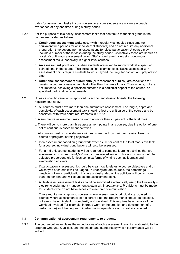dates for assessment tasks in core courses to ensure students are not unreasonably overloaded at any one time during a study period.

- 1.2.4 For the purpose of this policy, assessment tasks that contribute to the final grade in the course are divided as follows:
	- a. **Continuous assessment tasks** occur within regularly scheduled class time (or equivalent time periods for online/external students) and do not require any additional preparation time beyond normal expectations for class participation. A course may include a number of these tasks during the study period. Collectively these are known as 'a set of continuous assessment tasks'. Staff should avoid overusing continuous assessment tasks, especially in higher level courses.
	- b. **An assessment point** occurs when students are asked to submit work at a specified point of time in the course. This includes final examinations. Tasks associated with assessment points require students to work beyond their regular contact and preparation time.
	- c. **Additional assessment requirements** (or 'assessment hurdles') are conditions for passing a course or assessment task other than the overall mark. They include, but are not limited to, achieving a specified outcome in a particular aspect of the course, or specified participation requirements.
- 1.2.5 Unless a specific variation is approved by school and division boards, the following requirements apply:
	- a. All courses must have more than one summative assessment. The length, depth and complexity of each assessment task should reflect the unit value of the course and be consistent with word count requirements in 1.2.5.f
	- b. A summative assessment may be worth no more than 70 percent of the final mark.
	- c. There will be no more than three assessment points in any course, plus the option of one set of continuous assessment activities.
	- d. All courses must provide students with early feedback on their progression towards course or program learning objectives.
	- e. If an assessment based on group work exceeds 30 per cent of the total marks available for a course, individual contributions will also be assessed.
	- f. For a 4.5 unit course, students will be required to complete learning activities that are equivalent to no more than 4,500 words of assessed writing. This word count should be adjusted proportionately for less complex forms of writing such as journals and examination answers.
	- g. If participation is assessed, it should be clear how it relates to course objectives and on which type of criteria it will be judged. In undergraduate courses, the percentage weighting given to participation in class or designated online activities will be no more than ten per cent and will count as one assessment point.
	- h. All text-based assessment tasks should be submitted electronically using the University's electronic assignment management system within *learnonline*. Provisions must be made for students who do not have access to electronic communication.
	- i. These requirements apply to courses where assessment is principally text-based. In courses where assessment is of a different kind, the requirements should be adjusted, but aim to be equivalent in complexity and workload. This requires being aware of the workload involved (for example, in group work, or the creation and development of a performance) and the degree of intellectual independence and creativity required.

#### <span id="page-9-0"></span>**1.3 Communication of assessment requirements to students**

1.3.1 The course outline explains the expectations of each assessment task, its relationship to the program Graduate Qualities, and the criteria and standards by which performance will be judged.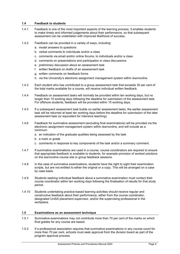#### <span id="page-10-0"></span>**1.4 Feedback to students**

- 1.4.1 Feedback is one of the most important aspects of the learning process. It enables students to make timely and informed judgements about their performance, so that subsequent assessment can be undertaken with improved likelihood of success.
- 1.4.2 Feedback can be provided in a variety of ways, including:
	- a. model answers to questions
	- b. verbal comments to individuals and/or a class
	- c. comments via email and/or online forums, to individuals and/or a class
	- d. comments on presentations and participation in class discussions
	- e. preliminary discussion about an assessment task
	- f. written feedback on drafts of an assessment task
	- g. written comments on feedback forms
	- h. via the University's electronic assignment management system within *learnonline*.
- 1.4.3 Each student who has contributed to a group assessment task that exceeds 30 per cent of the total marks available for a course, will receive individual written feedback.
- 1.4.4 Feedback on assessment tasks will normally be provided within ten working days, but no longer than 15 working days following the deadline for submission of the assessment task. For offshore students, feedback will be provided within 15 working days.
- 1.4.5 If a subsequent assessment task builds on earlier assessment tasks, the earlier assessment task will be returned at least ten working days before the deadline for submission of the later assessment task (or equivalent for intensive teaching).
- 1.4.6 Feedback for summative assessment (excluding final examinations) will be provided via the electronic assignment management system within *learnonline,* and will include as a minimum:
	- a. an indication of the graduate qualities being assessed by the task
	- b. a mark or grade
	- c. comments in response to key components of the task and/or a summary comment.
- 1.4.7 If summative examinations are used in a course, course coordinators are required to ensure that appropriate feedback is available to students, for example provision of worked solutions on the *learnonline* course site or group feedback sessions.
- 1.4.8 In the case of summative examinations, students have the right to sight their examination scripts, but are not entitled to either the original or a copy. This will be arranged on a case by case basis.
- 1.4.9 Students seeking individual feedback about a summative examination must contact their course coordinator within ten working days following the finalisation of results for that study period.
- 1.4.10 Students undertaking practice-based learning activities should receive regular and constructive feedback about their performance, either from the course coordinator, designated UniSA placement supervisor, and/or the supervising professional in the workplace.

#### <span id="page-10-1"></span>**1.5 Examinations as an assessment technique**

- 1.5.1 Summative examinations may not contribute more than 70 per cent of the marks on which final grades for any course are based.
- 1.5.2 If a professional association requires that summative examinations in any course count for more than 70 per cent, schools must seek approval from the division board as part of the program approval process.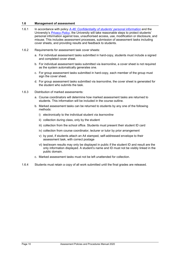#### <span id="page-11-0"></span>**1.6 Management of assessment**

- 1.6.1 In accordance with policy *[A-46: Confidentiality of students' personal information](https://i.unisa.edu.au/policies-and-procedures/university-policies/academic/a-46/)* and the University's *[Privacy Policy](https://i.unisa.edu.au/policies-and-procedures/privacy/privacy-policy/)*, the University will take reasonable steps to protect students' personal information against loss, unauthorised access, use, modification or disclosure, and misuse. This includes assessment processes, submission of assessment tasks including cover sheets, and providing results and feedback to students.
- 1.6.2 Requirements for assessment task cover sheets:
	- a. For individual assessment tasks submitted in hard-copy, students must include a signed and completed cover sheet.
	- b. For individual assessment tasks submitted via *learnonline*, a cover sheet is not required as the system automatically generates one.
	- c. For group assessment tasks submitted in hard-copy, each member of the group must sign the cover sheet.
	- d. For group assessment tasks submitted via *learnonline*, the cover sheet is generated for the student who submits the task.
- 1.6.3 Distribution of marked assessments:
	- a. Course coordinators will determine how marked assessment tasks are returned to students. This information will be included in the course outline.
	- b. Marked assessment tasks can be returned to students by any one of the following methods:
		- i) electronically to the individual student via *learnonline*
		- ii) collection during class, only by the student
		- iii) collection from the school office. Students must present their student ID card
		- iv) collection from course coordinator, lecturer or tutor by prior arrangement
		- v) by post, if students attach an A4 stamped, self-addressed envelope to their assessment task, with correct postage
		- vi) test/exam results may only be displayed in public if the student ID and result are the only information displayed. A student's name and ID must not be visibly linked in the public domain.
	- c. Marked assessment tasks must not be left unattended for collection.
- 1.6.4 Students must retain a copy of all work submitted until the final grades are released.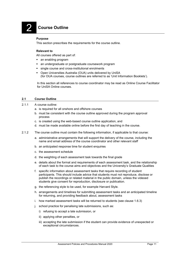# <span id="page-12-0"></span>2 **Course Outline**

#### **Purpose**

This section prescribes the requirements for the course outline.

#### **Relevant to**

All courses offered as part of:

- **an enabling program**
- **a** an undergraduate or postgraduate coursework program
- **single course and cross-institutional enrolments**
- Open Universities Australia (OUA) units delivered by UniSA (for OUA courses, course outlines are referred to as 'Unit Information Booklets').

In this section all references to course coordinator may be read as Online Course Facilitator for UniSA Online courses.

#### <span id="page-12-1"></span>**2.1 Course Outline**

- 2.1.1 A course outline:
	- a. is required for all onshore and offshore courses
	- b. must be consistent with the course outline approved during the program approval process
	- c. is created using the web-based course outline application, and
	- d. must be made available online before the first day of teaching in the course.
- 2.1.2 The course outline must contain the following information, if applicable to that course:
	- a. administrative arrangements that will support the delivery of the course, including the name and email address of the course coordinator and other relevant staff
	- b. an anticipated response time for student enquiries
	- c. the assessment schedule
	- d. the weighting of each assessment task towards the final grade
	- e. details about the format and requirements of each assessment task, and the relationship of each task to the course aims and objectives and the University's Graduate Qualities
	- f. specific information about assessment tasks that require recording of student participants. This should include advice that students must not reproduce, disclose or publish the recordings or related material in the public domain, unless the videoed students give consent for reproduction, disclosure or publication.
	- g. the referencing style to be used, for example Harvard Style.
	- h. arrangements and timelines for submitting assessment tasks and an anticipated timeline for returning, and providing feedback about, assessment tasks
	- i. how marked assessment tasks will be returned to students (see clause 1.6.3)
	- j. school practice for penalising late submissions, such as:
		- i) refusing to accept a late submission, or
		- ii) applying other penalties, or
		- iii) accepting the late submission if the student can provide evidence of unexpected or exceptional circumstances.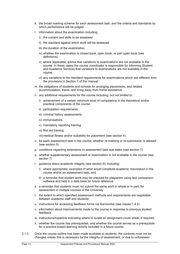- k. the broad marking scheme for each assessment task, and the criteria and standards by which performance will be judged
- l. information about the examination including:
	- i) the content and skills to be assessed
	- ii) the standard against which work will be assessed
	- iii) the duration of the examination
	- iv) whether the examination is closed book, open book, or part open book (see definitions)
	- v) where applicable, advice that variations to examinations are not available in the course. In these cases the course coordinator is responsible for informing Student and Academic Services that variations to examinations are not available in the course.
	- vi) any variations to the standard requirements for examinations which are different from the provisions in Section 7 of this manual
- m. the obligations of students and schools for arranging placements, and related accommodation, travel, and living away from home assistance
- n. any additional requirements for the course including, but not limited to:
	- i) achievement of a certain minimum level of competence in the theoretical and/or practical components of the course
	- ii) participation requirements
	- iii) criminal history assessments
	- iv) immunisations
	- v) mandatory reporting training
	- vi) first aid training

vii) medical fitness and/or suitability for placement (see section 4)

- o. for each assessment task in the course, whether re-marking or re-submission is allowed (see section 5)
- p. conditions regarding extensions to assessment task due dates (see section 7)
- q. whether supplementary assessment or examination is *not* available in the course (see section 7)
- r. guidance about academic integrity (see section 9), including:
	- i) where appropriate, examples of what would constitute academic misconduct in the course and/or an assessment task, and
	- ii) a reminder that student work may be checked for plagiarism using text comparison software and held in a data base for future reference
- s. a reminder that students must not submit the same work in whole or in part, for assessment in multiple courses of the University
- t. the extent to which specified assessment methods and requirements are negotiable between academic staff and students
- u. instructions for accessing feedback forms via *learnonline* (see clause 1.4.2)
- v. information about improvements made to the course in response to previous student feedback
- w. instructions/hyperlink indicating where to locate an assignment cover sheet, if required
- x. whether the course has prerequisites, and whether the course serves as a prerequisite for a practice-based learning activity included in a future course.
- 2.1.3 Once the course outline has been made available to students, the contents must not be changed unless this is necessary for the integrity of assessment, or due to unforeseen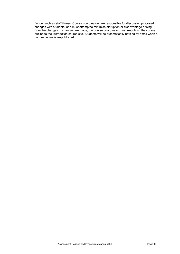factors such as staff illness. Course coordinators are responsible for discussing proposed changes with students, and must attempt to minimise disruption or disadvantage arising from the changes. If changes are made, the course coordinator must re-publish the course outline to the *learnonline* course site. Students will be automatically notified by email when a course outline is re-published.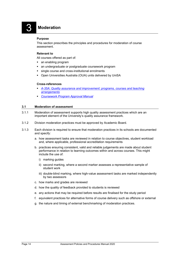# 3 **Moderation**

#### <span id="page-15-0"></span>**Purpose**

This section prescribes the principles and procedures for moderation of course assessment.

#### **Relevant to**

All courses offered as part of:

- an enabling program
- an undergraduate or postgraduate coursework program
- single course and cross-institutional enrolments
- Open Universities Australia (OUA) units delivered by UniSA

#### **Cross-references**

- *[A-35A: Quality assurance and improvement: programs, courses and teaching](https://i.unisa.edu.au/policies-and-procedures/university-policies/academic/a-35/)  [arrangements](https://i.unisa.edu.au/policies-and-procedures/university-policies/academic/a-35/)*
- *[Coursework Program Approval Manual](https://i.unisa.edu.au/sas/Our-Activities/Programs-and-Courses/Program-and-course-approval-and-amendment/)*

#### <span id="page-15-1"></span>**3.1 Moderation of assessment**

- 3.1.1 Moderation of assessment supports high quality assessment practices which are an important element of the University's quality assurance framework.
- 3.1.2 Division moderation practices must be approved by Academic Board.
- 3.1.3 Each division is required to ensure that moderation practices in its schools are documented and specify:
	- a. how assessment tasks are reviewed in relation to course objectives, student workload and, where applicable, professional accreditation requirements
	- b. practices ensuring consistent, valid and reliable judgements are made about student performance in relation to learning outcomes within and across courses. This might include the use of:
		- i) marking guides
		- ii) second marking, where a second marker assesses a representative sample of student work
		- iii) double-blind marking, where high-value assessment tasks are marked independently by two assessors
	- c. how marks and grades are reviewed
	- d. how the quality of feedback provided to students is reviewed
	- e. any actions that may be required before results are finalised for the study period
	- f. equivalent practices for alternative forms of course delivery such as offshore or external
	- g. the nature and timing of external benchmarking of moderation practices.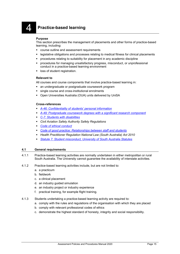## <span id="page-16-0"></span>4 **Practice-based learning**

#### **Purpose**

This section prescribes the management of placements and other forms of practice-based learning, including:

- course outline and assessment requirements
- legislative obligations and processes relating to medical fitness for clinical placements
- procedures relating to suitability for placement in any academic discipline
- procedures for managing unsatisfactory progress, misconduct, or unprofessional conduct in a practice-based learning environment
- loss of student registration.

#### **Relevant to**

All courses and course components that involve practice-based learning in:

- an undergraduate or postgraduate coursework program
- single course and cross-institutional enrolments
- Open Universities Australia (OUA) units delivered by UniSA

#### **Cross-references**

- *[A-46: Confidentiality of students' personal information](https://i.unisa.edu.au/policies-and-procedures/university-policies/academic/a-46/)*
- *[A-49: Postgraduate coursework degrees with a significant research component](https://i.unisa.edu.au/policies-and-procedures/university-policies/academic/a-49/)*
- *[C-7: Students with disabilities](https://i.unisa.edu.au/policies-and-procedures/university-policies/corporate/c-7/)*
- *Civil Aviation Safety Authority Safety Regulations*
- *[Code of ethical conduct](https://i.unisa.edu.au/policies-and-procedures/codes/ethics/)*
- *[Code of good practice: Relationships between staff and students](https://i.unisa.edu.au/policies-and-procedures/codes/good-practice/relationships/)*
- *Health Practitioner Regulation National Law (South Australia) Act 2010*
- *[Statute 7: Student misconduct, University of South Australia Statutes](https://i.unisa.edu.au/policies-and-procedures/act-statutes-and-by-laws/university-of-south-australia-statutes/#p7)*

#### <span id="page-16-1"></span>**4.1 General requirements**

- 4.1.1 Practice-based learning activities are normally undertaken in either metropolitan or rural South Australia. The University cannot guarantee the availability of interstate activities.
- 4.1.2 Practice-based learning activities include, but are not limited to:
	- a. a practicum
	- b. fieldwork
	- c. a clinical placement
	- d. an industry guided simulation
	- e. an industry project or industry experience
	- f. practical training, for example flight training.
- 4.1.3 Students undertaking a practice-based learning activity are required to:
	- a. comply with the rules and regulations of the organisation with which they are placed
	- b. comply with relevant professional codes of ethics
	- c. demonstrate the highest standard of honesty, integrity and social responsibility.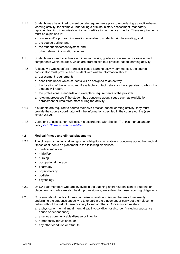- 4.1.4 Students may be obliged to meet certain requirements prior to undertaking a practice-based learning activity, for example undertaking a criminal history assessment, mandatory reporting training, immunisation, first aid certification or medical checks. These requirements must be explained in:
	- a. course and/or program information available to students prior to enrolling, and
	- b. the course outline, and
	- c. the student placement system, and
	- d. other relevant information sources.
- 4.1.5 Students may need to achieve a minimum passing grade for courses, or for assessment components within courses, which are prerequisite to a practice-based learning activity.
- 4.1.6 At least two weeks before a practice-based learning activity commences, the course coordinator must provide each student with written information about:
	- a. assessment requirements
	- b. conditions under which students will be assigned to an activity
	- c. the location of the activity, and if available, contact details for the supervisor to whom the student will report
	- d. the professional standards and workplace requirements of the provider
	- e. relevant processes if the student has concerns about issues such as exploitation, harassment or unfair treatment during the activity.
- 4.1.7 If students are required to source their own practice-based learning activity, they must provide the course coordinator with the information specified in the course outline (see clause 2.1.2).
- 4.1.8 Variations to assessment will occur in accordance with Section 7 of this manual and/or policy *C-7: [Students with disabilities](https://i.unisa.edu.au/policies-and-procedures/university-policies/corporate/c-7/)*.

#### <span id="page-17-0"></span>**4.2 Medical fitness and clinical placements**

- 4.2.1 The University has legislative reporting obligations in relation to concerns about the medical fitness of students on placement in the following disciplines:
	- medical radiation
	- midwifery
	- nursing
	- occupational therapy
	- pharmacy
	- physiotherapy
	- podiatry
	- psychology
- 4.2.2 UniSA staff members who are involved in the teaching and/or supervision of students on placement, and who are also health professionals, are subject to these reporting obligations.
- 4.2.3 Concerns about medical fitness can arise in relation to issues that may foreseeably undermine the student's capacity to take part in the placement or carry out their placement duties without the risk of harm or injury to self or others. Concerns can relate to:
	- a. a physical or mental impairment, disability, condition or disorder (including substance abuse or dependence)
	- b. a serious communicable disease or infection
	- c. a propensity for violence, or
	- d. any other condition or attribute.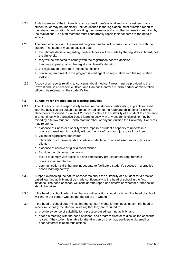- 4.2.4 A staff member of the University who is a health professional and who considers that a student is, or may be, medically unfit as defined in the legislation, must submit a report to the relevant registration board providing their reasons and any other information required by the regulations. The staff member must concurrently report their concerns to the head of school.
- 4.2.5 The head of school and the relevant program director will discuss their concerns with the student. The student must be advised that:
	- a. the ultimate decision regarding medical fitness will be made by the registration board, not the University
	- b. they will be expected to comply with the registration board's decision
	- c. they may appeal against the registration board's decision
	- d. the registration board may impose conditions
	- e. continuing enrolment in the program is contingent on registration with the registration board.
- 4.2.6 A copy of all reports relating to concerns about medical fitness must be provided to the Provost and Chief Academic Officer and Campus Central or UniSA partner administration office to be retained on the student's file.

#### <span id="page-18-0"></span>**4.3 Suitability for practice-based learning activities**

- 4.3.1 The University has a responsibility to ensure that students participating in practice-based learning activities are suitable to do so. In addition to the reporting obligations for clinical placements described in clause 4.2, concerns about the suitability of a student to commence in or continue with a practice-based learning activity in any academic discipline may be raised by a fellow student, UniSA staff member, or anyone outside the University. Concerns may relate to:
	- a. evidence of illness or disability which impairs a student's capacity to undertake a practice-based learning activity without the risk of harm or injury to self or others
	- b. violent or aggressive behaviour
	- c. intimidation of University staff or fellow students, or practice-based learning hosts or clients
	- d. evidence of chronic drug or alcohol misuse
	- e. fraudulent or dishonest behaviour
	- f. failure to comply with legislative and compulsory pre-placement requirements
	- g. conviction of an offence
	- h. communication skills that are inadequate to facilitate a student's success in a practicebased learning activity.
- 4.3.2 A report expressing the nature of concerns about the suitability of a student for a practicebased learning activity must be made confidentially to the head of school in the first instance. The head of school will consider the report and determine whether further action should be taken.
- 4.3.3 If the head of school determines that no further action should be taken, the head of school will inform the person who lodged the report, in writing.
- 4.3.4 If the head of school determines that the concern merits further investigation, the head of school must notify the student in writing that they are required to:
	- a. provide evidence of suitability for a practice-based learning activity, and
	- b. attend a meeting with the head of school and program director to discuss the concerns raised. If the student is unable to attend in person they may participate via email or phone/internet telecommunications.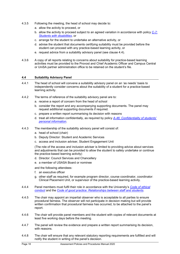- 4.3.5 Following the meeting, the head of school may decide to:
	- a. allow the activity to proceed, or
	- b. allow the activity to proceed subject to an agreed variation in accordance with policy *[C-7:](https://i.unisa.edu.au/policies-and-procedures/university-policies/corporate/c-7/) [Students with disabilities](https://i.unisa.edu.au/policies-and-procedures/university-policies/corporate/c-7/)*, or
	- c. arrange for the student to undertake an alternative activity, or
	- d. advise the student that documents certifying suitability must be provided before the student can proceed with any practice-based learning activity, or
	- e. request advice from a suitability advisory panel (see clause 4.4).
- 4.3.6 A copy of all reports relating to concerns about suitability for practice-based learning activities must be provided to the Provost and Chief Academic Officer and Campus Central or UniSA partner administration office to be retained on the student's file.

#### <span id="page-19-0"></span>**4.4 Suitability Advisory Panel**

- 4.4.1 The head of school will convene a suitability advisory panel on an 'as needs' basis to independently consider concerns about the suitability of a student for a practice-based learning activity.
- 4.4.2 The terms of reference of the suitability advisory panel are to:
	- a. receive a report of concern from the head of school
	- b. consider the report and any accompanying supporting documents. The panel may request additional supporting documents if required.
	- c. prepare a written report summarising its decision with reasons
	- d. treat all information confidentially, as required by policy *A-46*: *[Confidentiality of students'](https://i.unisa.edu.au/policies-and-procedures/university-policies/academic/a-46/)  [personal information](https://i.unisa.edu.au/policies-and-procedures/university-policies/academic/a-46/)*.
- 4.4.3 The membership of the suitability advisory panel will consist of:
	- a. head of school (chair)
	- b. Deputy Director: Student and Academic Services
	- c. access and inclusion adviser, Student Engagement Unit

(The role of the access and inclusion adviser is limited to providing advice about services and adjustments that can be provided to allow the student to safely undertake or continue the practice-based learning activity)

- d. Director: Council Services and Chancellery
- e. a member of USASA Board or nominee

and the following attendees:

- f. an executive officer
- g. other staff as required, for example program director, course coordinator, coordinator: Clinical Placement Unit, or supervisor of the practice-based learning activity.
- 4.4.4 Panel members must fulfil their role in accordance with the University's *[Code of ethical](https://i.unisa.edu.au/policies-and-procedures/codes/ethics/)  [conduct](https://i.unisa.edu.au/policies-and-procedures/codes/ethics/)* and the *[Code of good practice: Relationships between staff and students](https://i.unisa.edu.au/policies-and-procedures/codes/good-practice/relationships/)*.
- 4.4.5 The chair may appoint an impartial observer who is acceptable to all parties to ensure procedural fairness. The observer will not participate in decision making but will provide written confirmation that procedural fairness has occurred, to be attached to the panel's report.
- 4.4.6 The chair will provide panel members and the student with copies of relevant documents at least five working days before the meeting.
- 4.4.7 The panel will review the evidence and prepare a written report summarising its decision, with reasons.
- 4.4.8 The chair will ensure that any relevant statutory reporting requirements are fulfilled and will notify the student in writing of the panel's decision.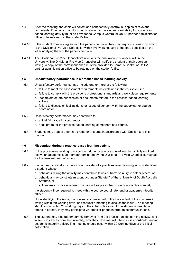- 4.4.9 After the meeting, the chair will collect and confidentially destroy all copies of relevant documents. One copy of all documents relating to the student's suitability for a practicebased learning activity must be provided to Campus Central or UniSA partner administration office to be retained on the student's file.
- 4.4.10 If the student does not agree with the panel's decision, they may request a review by writing to the Divisional Pro Vice Chancellor within five working days of the date specified on the letter notifying them of the panel's decision.
- 4.4.11 The Divisional Pro Vice Chancellor's review is the final avenue of appeal within the University. The Divisional Pro Vice Chancellor will notify the student of their decision in writing. A copy of the correspondence must be provided to Campus Central or UniSA partner administration office to be retained on the student's file.

#### <span id="page-20-0"></span>**4.5 Unsatisfactory performance in a practice-based learning activity**

- 4.5.1 Unsatisfactory performance may include one or more of the following:
	- a. failure to meet the assessment requirements as explained in the course outline
	- b. failure to comply with the provider's professional standards and workplace requirements
	- c. incomplete or late submission of documents related to the practice-based learning activity
	- d. failure to discuss critical incidents or issues of concern with the supervisor or course coordinator.
- 4.5.2 Unsatisfactory performance may contribute to:
	- a. a final fail grade in a course, or
	- b. a fail grade for the practice-based learning component of a course.
- 4.5.3 Students may appeal their final grade for a course in accordance with Section 8 of this manual.

#### <span id="page-20-1"></span>**4.6 Misconduct during a practice-based learning activity**

- 4.6.1 In the procedures relating to misconduct during a practice-based learning activity outlined below, an academic staff member nominated by the Divisional Pro Vice Chancellor, may act for the relevant head of school.
- 4.6.2 If a course coordinator, supervisor or provider of a practice-based learning activity identifies a student whose:
	- a. behaviour during the activity may contribute to risk of harm or injury to self or others, or
	- b. behaviour may constitute misconduct under Statute 7 of the University of South Australia Statutes, or
	- c. actions may involve academic misconduct as prescribed in section 9 of this manual,

the student will be required to meet with the course coordinator and/or academic integrity officer.

Upon identifying the issue, the course coordinator will notify the student of the concerns in writing within ten working days, and request a meeting to discuss the issue. The meeting should occur within 20 working days of the initial notification. If the student is unable to attend in person, they may participate via email or phone/internet telecommunications.

4.6.3 The student may also be temporarily removed from the practice-based learning activity, and in some instances from the university, until they have met with the course coordinator and/or academic integrity officer. The meeting should occur within 20 working days of the initial notification.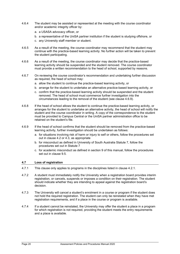- 4.6.4 The student may be assisted or represented at the meeting with the course coordinator and/or academic integrity officer by:
	- a. a USASA advocacy officer, or
	- b. a representative of the UniSA partner institution if the student is studying offshore, or
	- c. any University staff member or student.
- 4.6.5 As a result of the meeting, the course coordinator may recommend that the student may continue with the practice-based learning activity. No further action will be taken to prevent the student participating.
- 4.6.6 As a result of the meeting, the course coordinator may decide that the practice-based learning activity should be suspended and the student removed. The course coordinator must provide a written recommendation to the head of school, supported by reasons.
- 4.6.7 On reviewing the course coordinator's recommendation and undertaking further discussion as required, the head of school may:
	- a. allow the student to continue the practice-based learning activity, or
	- b. arrange for the student to undertake an alternative practice-based learning activity, or
	- c. confirm that the practice-based learning activity should be suspended and the student removed. The head of school must commence further investigation into the circumstances leading to the removal of the student (see clause 4.6.9).
- 4.6.8 If the head of school allows the student to continue the practice-based learning activity, or arranges for the student to undertake an alternative activity, the head of school will notify the student and the course coordinator in writing. A copy of the correspondence to the student must be provided to Campus Central or the UniSA partner administration office to be retained on the student's file.
- 4.6.9 If the head of school confirms that the student should be removed from the practice-based learning activity, further investigation should be undertaken as follows:
	- a. for situations involving risk of harm or injury to self or others, follow the procedures set out in clause 4.2 or 4.3, as appropriate
	- b. for misconduct as defined in University of South Australia Statute 7, follow the procedures set out in Statute 7
	- c. for academic misconduct as defined in section 9 of this manual, follow the procedures set out in clause 9.5.

#### <span id="page-21-0"></span>**4.7 Loss of registration**

- 4.7.1 This clause only applies to programs in the disciplines listed in clause 4.2.1.
- 4.7.2 A student must immediately notify the University when a registration board provides interim registration, or cancels, suspends or imposes a condition on their registration. The student should indicate whether they are intending to appeal against the registration board's decision.
- 4.7.3 The University will cancel a student's enrolment in a course or program if the student does not hold the required registration. The student can only be reinstated when they have met registration requirements, and if a place in the course or program is available.
- 4.7.4 If a student cannot be reinstated, the University may offer the student a place in a program for which registration is not required, providing the student meets the entry requirements and a place is available.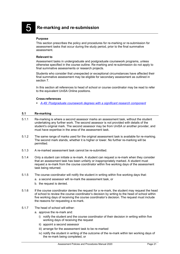<span id="page-22-0"></span>5 **Re-marking and re-submission**

#### **Purpose**

This section prescribes the policy and procedures for re-marking or re-submission for assessment tasks that occur during the study period, prior to the final summative assessment.

#### **Relevant to**

Assessment tasks in undergraduate and postgraduate coursework programs, unless otherwise specified in the course outline. Re-marking and re-submission do not apply to final summative assessments or research projects.

Students who consider that unexpected or exceptional circumstances have affected their final summative assessment may be eligible for secondary assessment as outlined in section 7.

In this section all references to head of school or course coordinator may be read to refer to the equivalent UniSA Online positions.

#### **Cross-references**

*[A-49: Postgraduate coursework degrees with a significant research component](https://i.unisa.edu.au/policies-and-procedures/university-policies/academic/a-49/)*

#### <span id="page-22-1"></span>**5.1 Re-marking**

- 5.1.1 Re-marking is where a second assessor marks an assessment task, without the student undertaking any further work. The second assessor is not provided with details of the student's original mark. The second assessor may be from UniSA or another provider, and must have expertise in the area of the assessment task.
- 5.1.2 The same range of marks used for the original assessment task is available for re-marking. The second mark stands, whether it is higher or lower. No further re-marking will be permitted.
- 5.1.3 A re-marked assessment task cannot be re-submitted.
- 5.1.4 Only a student can initiate a re-mark. A student can request a re-mark when they consider that an assessment task has been unfairly or inappropriately marked. A student must request a re-mark from the course coordinator within five working days of the assessment task being returned.
- 5.1.5 The course coordinator will notify the student in writing within five working days that:
	- a. a second assessor will re-mark the assessment task, or
	- b. the request is denied.
- 5.1.6 If the course coordinator denies the request for a re-mark, the student may request the head of school to review the course coordinator's decision by writing to the head of school within five working days of receiving the course coordinator's decision. The request must include the reasons for requesting a re-mark.
- 5.1.7 The head of school will either:
	- a. approve the re-mark and:
		- i) notify the student and the course coordinator of their decision in writing within five working days of receiving the request
		- ii) appoint a second assessor
		- iii) arrange for the assessment task to be re-marked
		- iv) notify the student in writing of the outcome of the re-mark within ten working days of the re-mark being completed, or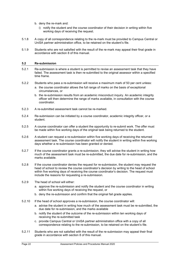- b. deny the re-mark and:
	- i) notify the student and the course coordinator of their decision in writing within five working days of receiving the request.
- 5.1.8 A copy of all correspondence relating to the re-mark must be provided to Campus Central or UniSA partner administration office, to be retained on the student's file.
- 5.1.9 Students who are not satisfied with the result of the re-mark may appeal their final grade in accordance with section 8 of this manual.

#### <span id="page-23-0"></span>**5.2 Re-submission**

- 5.2.1 Re-submission is where a student is permitted to revise an assessment task that they have failed. The assessment task is then re-submitted to the original assessor within a specified time frame.
- 5.2.2 Students who pass a re-submission will receive a maximum mark of 50 per cent unless:
	- a. the course coordinator allows the full range of marks on the basis of exceptional circumstances, or
	- b. the re-submission results from an academic misconduct inquiry. An academic integrity officer will then determine the range of marks available, in consultation with the course coordinator.
- 5.2.3 A re-submitted assessment task cannot be re-marked.
- 5.2.4 Re-submission can be initiated by a course coordinator, academic integrity officer, or a student.
- 5.2.5 A course coordinator can offer a student the opportunity to re-submit work. The offer must be made within five working days of the original task being returned to the student.
- 5.2.6 A student can request a re-submission within five working days of receiving the returned assessment task. The course coordinator will notify the student in writing within five working days whether a re-submission has been granted or denied.
- 5.2.7 If the course coordinator grants a re-submission, they will advise the student in writing how much of the assessment task must be re-submitted, the due date for re-submission, and the marks available.
- 5.2.8 If the course coordinator denies the request for re-submission, the student may request the head of school to review the course coordinator's decision by writing to the head of school within five working days of receiving the course coordinator's decision. The request must include the reasons for requesting a re-submission.
- 5.2.9 The head of school will either:
	- a. approve the re-submission and notify the student and the course coordinator in writing within five working days of receiving the request, or
	- b. deny the re-submission and confirm that the original fail grade applies.
- 5.2.10 If the head of school approves a re-submission, the course coordinator will:
	- a. advise the student in writing how much of the assessment task must be re-submitted, the due date for re-submission, and the marks available
	- b. notify the student of the outcome of the re-submission within ten working days of receiving the re-submitted task
	- c. provide Campus Central or UniSA partner administration office with a copy of all correspondence relating to the re-submission, to be retained on the student's file.
- 5.2.11 Students who are not satisfied with the result of the re-submission may appeal their final grade in accordance with section 8 of this manual.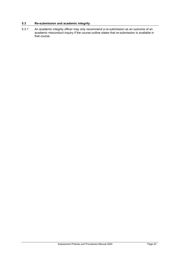#### <span id="page-24-0"></span>**5.3 Re-submission and academic integrity**

5.3.1 An academic integrity officer may only recommend a re-submission as an outcome of an academic misconduct inquiry if the course outline states that re-submission is available in that course.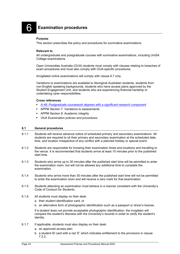## <span id="page-25-0"></span>6 **Examination procedures**

#### **Purpose**

This section prescribes the policy and procedures for summative examinations.

#### **Relevant to**

All undergraduate and postgraduate courses with summative examinations, including UniSA College examinations.

Open Universities Australia (OUA) students must comply with clauses relating to breaches of exam procedures and must also comply with OUA-specific procedures.

ilnvigilated online examinations will comply with clause 6.7 only.

Variations to examinations are available to Aboriginal Australian students, students from non-English speaking backgrounds, students who have access plans approved by the Student Engagement Unit, and students who are experiencing financial hardship or undertaking carer responsibilities.

#### **Cross references**

- *[A-49: Postgraduate coursework degrees with a significant research component](https://i.unisa.edu.au/policies-and-procedures/university-policies/academic/a-49/)*
- **APPM Section 7: Variations to assessments**
- **APPM Section 9: Academic integrity**
- *OUA Examination policies and procedures*

#### <span id="page-25-1"></span>**6.1 General procedures**

- 6.1.1 Students will receive advance notice of scheduled primary and secondary examinations. All students are required to sit their primary and secondary examination at the scheduled date, time, and location irrespective of any conflict with a planned holiday or special event.
- 6.1.2 Students are responsible for knowing their examination times and locations and travelling to the venue. It is recommended that students arrive at least 15 minutes prior to the published start time.
- 6.1.3 Students who arrive up to 30 minutes after the published start time will be permitted to enter the examination room, but will not be allowed any additional time to complete the examination.
- 6.1.4 Students who arrive more than 30 minutes after the published start time will not be permitted to enter the examination room and will receive a zero mark for that examination.
- 6.1.5 Students attending an examination must behave in a manner consistent with the University's Code of Conduct for Students.
- 6.1.6 All students must display on their desk:
	- a. their student identification card, or
	- b. an alternative form of photographic identification such as a passport or driver's license.

If a student does not provide acceptable photographic identification, the invigilator will compare the student's likeness with the University's records in order to verify the student's identity.

- 6.1.7 If applicable, students must also display on their desk:
	- a. an approved access plan
	- b. a student ID card with a red 'E' which indicates entitlement to the provisions in clause 7.2.2.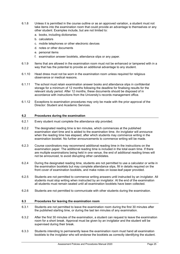- 6.1.8 Unless it is permitted in the course outline or as an approved variation, a student must not take items into the examination room that could provide an advantage to themselves or any other student. Examples include, but are not limited to:
	- a. books, including dictionaries
	- b. calculators
	- c. mobile telephones or other electronic devices
	- d. notes or other documents
	- e. personal items
	- f. examination answer booklets, attendance slips or any paper.
- 6.1.9 Items that are allowed in the examination room must not be enhanced or tampered with in a way that has the potential to provide an additional advantage to any student.
- 6.1.10 Head dress must not be worn in the examination room unless required for religious observance or medical reasons.
- 6.1.11 The school must retain examination answer books and attendance slips in confidential storage for a minimum of 12 months following the deadline for finalising results for the relevant study period. After 12 months, these documents should be disposed of in accordance with instructions from the University's records management office.
- 6.1.12 Exceptions to examination procedures may only be made with the prior approval of the Director: Student and Academic Services.

#### <span id="page-26-0"></span>**6.2 Procedures during the examination**

- 6.2.1 Every student must complete the attendance slip provided.
- 6.2.2 The designated reading time is ten minutes, which commences at the published examination start time and is added to the examination time. An invigilator will announce when the reading time has elapsed, after which students may commence writing in the examination booklet. No further announcements to commence writing will be made.
- 6.2.3 Course coordinators may recommend additional reading time in the instructions on the examination paper. The additional reading time is included in the total exam time. If there are multiple examinations being held in one venue, the end of additional reading times will not be announced, to avoid disrupting other candidates.
- 6.2.4 During the designated reading time, students are not permitted to use a calculator or write in the examination booklets but may complete attendance slips, fill in details required on the front cover of examination booklets, and make notes on loose-leaf paper provided.
- 6.2.5 Students are not permitted to commence writing answers until instructed by an invigilator. All students must stop writing when instructed by an invigilator. At the end of the examination all students must remain seated until all examination booklets have been collected.
- 6.2.6 Students are not permitted to communicate with other students during the examination.

#### <span id="page-26-1"></span>**6.3 Procedures for leaving the examination room**

- 6.3.1 Students are not permitted to leave the examination room during the first 30 minutes after the published starting time, or during the last ten minutes of any examination.
- 6.3.2 After the first 30 minutes of the examination, a student can request to leave the examination room for a short break. Approval must be given by an invigilator and the student will be supervised during their break.
- 6.3.3 Students intending to permanently leave the examination room must hand all examination booklets to the invigilator who will endorse the booklets as correctly identifying the student.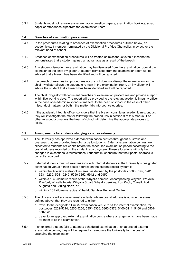6.3.4 Students must not remove any examination question papers, examination booklets, scrap paper or attendance slips from the examination room.

#### <span id="page-27-0"></span>**6.4 Breaches of examination procedures**

- 6.4.1 In the procedures relating to breaches of examination procedures outlined below, an academic staff member nominated by the Divisional Pro Vice Chancellor, may act for the relevant head of school.
- 6.4.2 Breaches of examination procedures will be treated as misconduct even if it cannot be demonstrated that a student gained an advantage as a result of the breach.
- 6.4.3 Any student disrupting an examination may be dismissed from the examination room at the discretion of the chief invigilator. A student dismissed from the examination room will be advised that a breach has been identified and will be reported.
- 6.4.4 If a breach of examination procedures occurs but does not disrupt the examination, or the chief invigilator allows the student to remain in the examination room, an invigilator will advise the student that a breach has been identified and will be reported.
- 6.4.5 The chief invigilator will document breaches of examination procedures and provide a report within five working days. The report will be provided to the relevant academic integrity officer in the case of academic misconduct matters, to the head of school in the case of other misconduct matters, or both if the matter falls into both categories.
- 6.4.6 If the academic integrity officer considers that the breach constitutes academic misconduct, they will investigate the matter following the procedures in section 9 of this manual. For other misconduct matters the head of school will determine the appropriate process to follow.

#### <span id="page-27-1"></span>**6.5 Arrangements for students studying a course externally**

- 6.5.1 The University has approved external examination centres throughout Australia and overseas that are provided free-of-charge to students. External examination centres are allocated to students six weeks before the scheduled examination period according to the postal address recorded on the student record system. These allocations will only be changed in exceptional circumstances. Students must ensure that their postal address is correctly recorded.
- 6.5.2 External students must sit examinations with internal students at the University's designated examination venue if their postal address on the student record system is:
	- a. within the Adelaide metropolitan area, as defined by the postcodes 5000-5199, 5201, 5231-5235, 5241-5245, 5250-5252, 5942 and 5950
	- b. within a 105 kilometre radius of the Whyalla campus, encompassing Whyalla, Whyalla Playford, Whyalla Norrie, Whyalla Stuart, Whyalla Jenkins, Iron Knob, Cowell, Port Augusta and Stirling North, or
	- c. within a 105 kilometre radius of the Mt Gambier Regional Centre.
- 6.5.3 The University will advise external students, whose postal address is outside the areas defined above, that they are required to either:
	- a. travel to the designated UniSA examination venue to sit the internal examination, for postcodes 5202-5214, 5255-5256, 5351-5356, 5360-5373, 5400-5411, 5460 and 5501- 5502, or
	- b. travel to an approved external examination centre where arrangements have been made for them to sit the examination.
- 6.5.4 If an external student fails to attend a scheduled examination at an approved external examination centre, they will be required to reimburse the University for the cost of arranging the examination.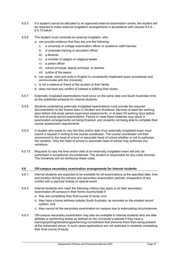- 6.5.5 If a student cannot be allocated to an approved external examination centre, the student will be required to make external invigilation arrangements in accordance with clauses 6.5.6 – 6.5.10 below.
- 6.5.6 The student must nominate an external invigilator, who:
	- a. can provide evidence that they are one the following:
		- i) a university or college examination officer or academic staff member
		- ii) a corporate training or education officer
		- iii) a librarian
		- iv) a minister of religion or religious leader
		- v) a police officer
		- vi) school principal, deputy principal, or teacher
		- vii) justice of the peace.
	- b. can speak, read and write in English to competently implement exam procedures and communicate with the University
	- c. is not a relative or friend of the student or their family
	- d. does not have any conflict of interest in fulfilling their duties.
- 6.5.7 Externally invigilated examinations must occur on the same date and South Australian time as the published schedule for internal students.
- 6.5.8 Students undertaking externally invigilated examinations must provide the required documentation to the Exams team in Student and Academic Services at least ten working days before mid-study period supervised assessments, or at least 20 working days before the end-of-study period examinations. Failure to meet these timelines may result in examination arrangements not being finalised, and students not being able to complete their course assessment requirements.
- 6.5.9 A student who wants to vary the time and/or date of an externally invigilated exam must submit a request in writing to the course coordinator. The course coordinator will then recommend to the head of school or associate head of school whether or not to authorise the variation. Only the head of school or associate head of school may authorise any variations.
- 6.5.10 Requests to vary the time and/or date of an externally invigilated exam will only be authorised in exceptional circumstances. The student is responsible for any costs incurred. The University will not reimburse these costs.

#### <span id="page-28-0"></span>**6.6 Off-campus secondary examination arrangements for internal students**

- 6.6.1 Internal students are expected to be available for all examinations at the specified date, time and location during the primary and secondary examination periods, irrespective of any conflict with a planned holiday or special event.
- 6.6.2 Internal students who meet the following criteria may apply to sit their secondary examination off-campus in their home country/state if:
	- a. they are completing their final course of study; and
	- b. they have a home address outside South Australia, as recorded on the student record system, and
	- c. they cannot sit the secondary examination on campus due to extenuating circumstances.
- 6.6.3 Off-campus secondary examination may also be available to internal students who are elite athletes or performing artists as defined on the University's website if they have a training/sporting/rehearsing/performing commitment that prevents them from being present at the scheduled venue. In such cases applications are not restricted to students completing their final course of study.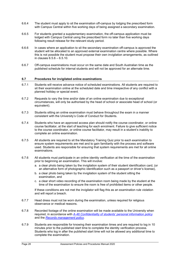- 6.6.4 The student must apply to sit the examination off-campus by lodging the prescribed form with Campus Central within five working days of being assigned a secondary examination.
- 6.6.5 For students granted a supplementary examination, the off-campus application must be lodged with Campus Central using the prescribed form no later than five working days following result release for the relevant study period.
- 6.6.6 In cases where an application to sit the secondary examination off-campus is approved the student will be allocated to an approved external examination centre where possible. Where this is not possible the student must propose their own invigilation arrangements, as outlined in clauses 6.5.6 – 6.5.10.
- 6.6.7 Off-campus examinations must occur on the same date and South Australian time as the published schedule for internal students and will not be approved for an alternate time.

#### <span id="page-29-0"></span>**6.7 Procedures for invigilated online examinations**

- 6.7.1 Students will receive advance notice of scheduled examinations. All students are required to sit their examination online at the scheduled date and time irrespective of any conflict with a planned holiday or special event.
- 6.7.2 Requests to vary the time and/or date of an online examination due to exceptional circumstances, will only be authorised by the head of school or associate head of school (or equivalent).
- 6.7.3 Students sitting an online examination must behave throughout the exam in a manner consistent with the University's Code of Conduct for Students.
- 6.7.4 Students who have an approved access plan should notify the course coordinator, or online course facilitator, at the start of teaching for each enrolment. Failure to give sufficient notice to the course coordinator, or online course facilitator, may result in a student's inability to complete an online examination.
- 6.7.5 All students are required to sit the Mandatory Training Quiz prior to each examination to ensure system requirements are met and to gain familiarity with the process and software used. Students are responsible for ensuring that system requirements are met for all online examinations.
- 6.7.6 All students must participate in an online identity verification at the time of the examination prior to beginning an examination. This will involve:
	- a. a clear photo being taken by the invigilation system of their student identification card, (or an alternative form of photographic identification such as a passport or driver's license),
	- b. a clear photo being taken by the invigilation system of the student sitting the examination, and
	- c. a clear short video recording of the examination room being made by the student at the time of the examination to ensure the room is free of prohibited items or other people.

If these conditions are not met the invigilator will flag this as an examination rule violation and will report a breach.

- 6.7.7 Head dress must not be worn during the examination, unless required for religious observance or medical reasons.
- 6.7.8 Recorded footage of the online examination will be made available to the University when required, in accordance with *[A-46 Confidentiality of students' personal information](https://i.unisa.edu.au/policies-and-procedures/university-policies/academic/a-46/) policy* and the *[Records management policy](https://i.unisa.edu.au/policies-and-procedures/codes/miscellaneous/records-management-policy/)*.
- 6.7.9 Students are responsible for knowing their examination times and are required to log in 10 minutes prior to the published start time to complete the identity verification process. Students who log in after the published start time will not be allowed any additional time to complete the examination.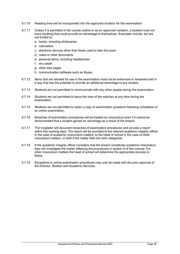- 6.7.10 Reading time will be incorporated into the approved duration for the examination.
- 6.7.11 Unless it is permitted in the course outline or as an approved variation, a student must not have anything that could provide an advantage to themselves. Examples include, but are not limited to:
	- a. books, including dictionaries
	- b. calculators
	- c. electronic devices other than those used to take the exam
	- d. notes or other documents
	- e. personal items, including headphones
	- f. any paper
	- g. other web pages
	- h. communication software such as Skype.
- 6.7.12 Items that are allowed for use in the examination must not be enhanced or tampered with in a way that has the potential to provide an additional advantage to any student.
- 6.7.13 Students are not permitted to communicate with any other people during the examination.
- 6.7.14 Students are not permitted to leave the view of the webcam at any time during the examination.
- 6.7.15 Students are not permitted to retain a copy of examination questions following completion of an online examination.
- 6.7.16 Breaches of examination procedures will be treated as misconduct even if it cannot be demonstrated that a student gained an advantage as a result of the breach.
- 6.7.17 The invigilator will document breaches of examination procedures and provide a report within five working days. The report will be provided to the relevant academic integrity officer in the case of academic misconduct matters, to the head of school in the case of other misconduct matters, or both if the matter falls into both categories.
- 6.7.18 If the academic integrity officer considers that the breach constitutes academic misconduct, they will investigate the matter following the procedures in section 9 of this manual. For other misconduct matters the head of school will determine the appropriate process to follow.
- 6.7.19 Exceptions to online examination procedures may only be made with the prior approval of the Director: Student and Academic Services.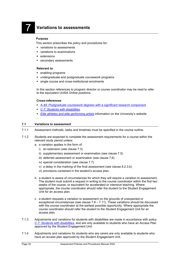## <span id="page-31-0"></span>7 **Variations to assessments**

#### **Purpose**

This section prescribes the policy and procedures for:

- variations to assessments
- variations to examinations
- **extensions**
- secondary assessments

#### **Relevant to**

- **enabling programs**
- undergraduate and postgraduate coursework programs
- single course and cross-institutional enrolments

In this section references to program director or course coordinator may be read to refer to the equivalent UniSA Online positions.

#### **Cross-references**

- *[A-49: Postgraduate coursework degrees with a significant research component](https://i.unisa.edu.au/policies-and-procedures/university-policies/academic/a-49/)*
- *[C-7: Students with disabilities](https://i.unisa.edu.au/policies-and-procedures/university-policies/corporate/c-7/)*
- **[Elite athletes and elite performing artists](https://www.unisa.edu.au/study-at-unisa/elite-athletes-and-performers/)** information on the University's website

#### <span id="page-31-1"></span>**7.1 Variations to assessment**

- 7.1.1 Assessment methods, tasks and timelines must be specified in the course outline.
- 7.1.2 Students are expected to complete the assessment requirements for a course within the relevant study period unless:
	- a. a variation applies in the form of:
		- i) an extension (see clause 7.3)
		- ii) supplementary assessment or examination (see clause 7.5)
		- iii) deferred assessment or examination (see clause 7.6)
		- iv) special consideration (see clause 7.7)
		- v) a delay in the marking of the final assessment (see clause 8.2.3.b)
		- vi) provisions contained in the student's access plan.
	- b. a student is aware of circumstances for which they will require a variation to assessment. The student must submit a request in writing to the course coordinator within the first two weeks of the course, or equivalent for accelerated or intensive teaching. Where appropriate, the course coordinator should refer the student to the Student Engagement Unit for an access plan.
	- c. a student requests a variation to [assessment o](http://www.unisa.edu.au/policies/manual/2007/General_Definitions.pdf)n the grounds of unexpected or exceptional circumstances (see clause  $7.8 - 7.11$ ). These variations should be discussed with the course coordinator at the earliest possible opportunity. Where appropriate the course coordinator should refer the student to the Student Engagement Unit for an access plan.
- 7.1.3 Adjustments and variations for students with disabilities are made in accordance with policy *[C-7: Students with disabilities](https://i.unisa.edu.au/policies-and-procedures/university-policies/corporate/c-7/)*, and are only available to students who have an Access Plan approved by the Student Engagement Unit.
- 7.1.4 Adjustments and variations for students who are carers are only available to students who have an access plan approved by the Student Engagement Unit.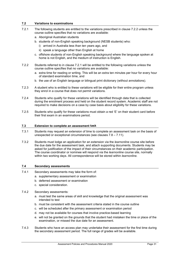#### <span id="page-32-0"></span>**7.2 Variations to examinations**

- 7.2.1 The following students are entitled to the variations prescribed in clause 7.2.2 unless the course outline specifies that no variations are available:
	- a. Aboriginal Australian students
	- b. students of non-English speaking background (NESB students) who:
		- i) arrived in Australia less than ten years ago, and
		- ii) speak a language other than English at home
	- c. offshore students of non-English speaking background where the language spoken at home is not English, and the medium of instruction is English.
- 7.2.2 Students referred to in clause 7.2.1 will be entitled to the following variations unless the course outline specifies that no variations are available:
	- a. extra time for reading or writing. This will be an extra ten minutes per hour for every hour of standard examination time, and
	- b. the use of an English language or bilingual print dictionary (without annotations).
- 7.2.3 A student who is entitled to these variations will be eligible for their entire program unless they enrol in a course that does not permit variations.
- 7.2.4 Students who qualify for these variations will be identified through data that is collected during the enrolment process and held on the student record system. Academic staff are not required to make decisions on a case by case basis about eligibility for these variations.
- 7.2.5 Students who qualify for these variations must obtain a red 'E' on their student card before their first exam in an examinations period.

#### <span id="page-32-1"></span>**7.3 Extension to complete an [assessment t](http://www.unisa.edu.au/policies/manual/2007/General_Definitions.pdf)ask**

- 7.3.1 Students may request an extension of time to complete an [assessment t](http://www.unisa.edu.au/policies/manual/2007/General_Definitions.pdf)ask on the basis of unexpected or exceptional circumstances (see clauses 7.8 – 7.11).
- 7.3.2 Students must lodge an application for an extension via the *learnonline* course site before the due date for the assessment task, and attach supporting documents. Students may be asked for justification of the impact of their circumstances on their academic participation. The course coordinator or nominee will respond via the *learnonline* course site, normally within two working days. All correspondence will be stored within *learnonline.*

#### <span id="page-32-2"></span>**7.4 Secondary assessments**

- 7.4.1 Secondary assessments may take the form of:
	- a. supplementary assessment or examination
	- b. deferred assessment or examination
	- c. special consideration.
- 7.4.2 Secondary assessments:
	- a. must test the same areas of skill and knowledge that the original assessment was intended to test
	- b. must be consistent with the assessment criteria stated in the course outline
	- c. will be scheduled after the primary assessment or examination period
	- d. may not be available for courses that involve practice-based learning
	- e. will not be granted on the grounds that the student had mistaken the time or place of the examination, or missed the due date for an assessment.
- 7.4.3 Students who have an access plan may undertake their assessment for the first time during the secondary assessment period. The full range of grades will be available.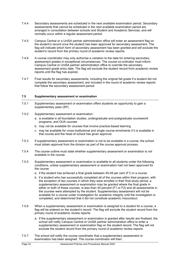- 7.4.4 Secondary assessments are scheduled in the next available examination period. Secondary assessments that cannot be scheduled in the next available examination period are arranged in consultation between schools and Student and Academic Services, and will normally occur within a regular assessment period.
- 7.4.5 Campus Central or a UniSA partner administration office will enter an assessment flag on the student's record once the student has been approved for secondary assessment. The flag will indicate which form of secondary assessment has been granted and will exclude the student's record from the primary round of academic review reports.
- 7.4.6 A course coordinator may only authorise a variation to the date for entering secondary assessment grades in exceptional circumstances. The course co-ordinator must inform Campus Central or UniSA partner administration office to override the secondary assessment grade entry date. The flag will exclude the student record from academic review reports until the flag has expired.
- 7.4.7 Final results for secondary assessments, including the original fail grade if a student did not complete the secondary assessment, are included in the round of academic review reports that follow the secondary assessment period.

#### <span id="page-33-0"></span>**7.5 Supplementary assessment or examination**

- 7.5.1 Supplementary assessment or examination offers students an opportunity to gain a supplementary pass (SP).
- 7.5.2 Supplementary assessment or examination:
	- a. is available in all foundation studies, undergraduate and postgraduate coursework programs, and OUA courses
	- b. may not be available for courses that involve practice-based learning
	- c. may be available for cross-institutional and single course enrolments if it is available in that course and the head of school has given approval.
- 7.5.3 If supplementary assessment or examination is not to be available in a course, the school must obtain approval from the division as part of the course approval process.
- 7.5.4 The course outline must state whether supplementary assessment or examination is not available in the course.
- 7.5.5 Supplementary assessment or examination is available to all students under the following conditions, unless supplementary assessment or examination had not been approved for the course:
	- a. if the student has achieved a final grade between 45-49 per cent (F1) in a course
	- b. if a student who has successfully completed all of the courses within their program, with the exception of two courses in which they were enrolled in their final study period, a supplementary assessment or examination may be granted where the final grade in either or both of these courses, is less than 45 percent (F1 or F2) and all assessments in the courses were attempted by the student. Supplementary assessment will not be available for a course under investigation for academic integrity until the investigation is completed, and determined that it did not constitute academic misconduct.
- 7.5.6 When a supplementary assessment or examination is assigned to a student for a course, a flag will be entered on the student's record. The flag will exclude the student record from the primary round of academic review reports.
	- a. If the supplementary assessment or examination is granted after results are finalised, the school will notify Campus Central or UniSA partner administration office to enter a supplementary assessment or examination flag on the student record. The flag will not exclude the student record from the primary round of academic review reports.
- 7.5.7 The school will notify the course coordinator that a supplementary assessment or examination has been assigned. The course coordinator will then: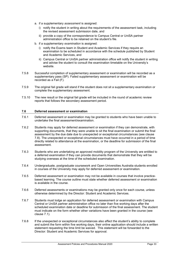- a. if a supplementary *assessment* is assigned:
	- i) notify the student in writing about the requirements of the assessment task, including the revised assessment submission date, and
	- ii) provide a copy of the correspondence to Campus Central or UniSA partner administration office to be retained on the student's file.
- b. if a supplementary *examination* is assigned:
	- i) notify the Exams team in Student and Academic Services if they require an examination to be scheduled in accordance with the schedule published by Student and Academic Services, and
	- ii) Campus Central or UniSA partner administration office will notify the student in writing and advise the student to consult the examination timetable on the University's website.
- 7.5.8 Successful completion of supplementary assessment or examination will be recorded as a supplementary pass (SP). Failed supplementary assessment or examination will be recorded as a Fail (F).
- 7.5.9 The original fail grade will stand if the student does not sit a supplementary examination or complete the supplementary assessment.
- 7.5.10 The new result or the original fail grade will be included in the round of academic review reports that follows the secondary assessment period.

#### <span id="page-34-0"></span>**7.6 Deferred assessment or examination**

- 7.6.1 Deferred assessment or examination may be granted to students who have been unable to undertake the final assessment/examination.
- 7.6.2 Students may apply for deferred assessment or examination if they can demonstrate, with supporting documents, that they were unable to sit the final examination or submit the final assessment by the due date due to unexpected or exceptional circumstances (see clause 7.8). The unexpected or exceptional circumstances must have occurred in a period of time directly related to attendance at the examination, or the deadline for submission of the final assessment.
- 7.6.3 Students who are undertaking an approved mobility program of the University are entitled to a deferred examination if they can provide documents that demonstrate that they will be studying overseas at the time of the scheduled examination.
- 7.6.4 Undergraduate, postgraduate coursework and Open Universities Australia students enrolled in courses of the University may apply for deferred assessment or examination.
- 7.6.5 Deferred assessment or examination may not be available in courses that involve practicebased learning. The course outline must state whether deferred assessment or examination is available in the course.
- 7.6.6 Deferred assessments or examinations may be granted only once for each course, unless otherwise determined by the Director: Student and Academic Services.
- 7.6.7 Students must lodge an application for deferred assessment or examination with Campus Central or UniSA partner administration office no later than five working days after the scheduled examination date or deadline for submission of the final assessment. The student must indicate on the form whether other variations have been granted in the course (see clause 7.1).
- 7.6.8 If the unexpected or exceptional circumstances also affect the student's ability to complete and submit the form within five working days, their online application should include a written statement requesting the time limit be waived. This statement will be forwarded to the Director: Student and Academic Services for approval.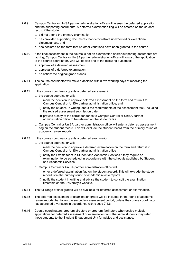- 7.6.9 Campus Central or UniSA partner administration office will assess the deferred application and the supporting documents. A deferred examination flag will be entered on the student record if the student:
	- a. did not attend the primary examination
	- b. has provided supporting documents that demonstrate unexpected or exceptional circumstances, and
	- c. has declared on the form that no other variations have been granted in the course.
- 7.6.10 If the final assessment in the course is not an examination and/or supporting documents are lacking, Campus Central or UniSA partner administration office will forward the application to the course coordinator, who will decide one of the following outcomes:
	- a. approval of a deferred assessment
	- b. approval of a deferred examination
	- c. no action: the original grade stands.
- 7.6.11 The course coordinator will make a decision within five working days of receiving the application.
- 7.6.12 If the course coordinator grants a deferred *assessment*:
	- a. the course coordinator will:
		- i) mark the decision to approve deferred assessment on the form and return it to Campus Central or UniSA partner administration office, and
		- ii) notify the student, in writing, about the requirements of the assessment task, including the revised assessment submission date
		- iii) provide a copy of the correspondence to Campus Central or UniSA partner administration office to be retained on the student's file.
	- b. Campus Central or UniSA partner administration office will enter a deferred assessment flag on the student record. This will exclude the student record from the primary round of academic review reports.
- 7.6.13 If the course coordinator grants a deferred *examination*:
	- a. the course coordinator will:
		- i) mark the decision to approve a deferred examination on the form and return it to Campus Central or UniSA partner administration office
		- ii) notify the Exams team in Student and Academic Services if they require an examination to be scheduled in accordance with the schedule published by Student and Academic Services.
	- b. Campus Central or UniSA partner administration office will:
		- i) enter a deferred examination flag on the student record. This will exclude the student record from the primary round of academic review reports.
		- ii) notify the student in writing and advise the student to consult the examination timetable on the University's website.
- 7.6.14 The full range of final grades will be available for deferred assessment or examination.
- 7.6.15 The deferred assessment or examination grade will be included in the round of academic review reports that follow the secondary assessment period, unless the course coordinator has approved a variation in accordance with clause 7.4.6.
- 7.6.16 Course coordinators, program directors or program facilitators who receive multiple applications for deferred assessment or examination from the same students may refer those students to the Student Engagement Unit for advice and assistance.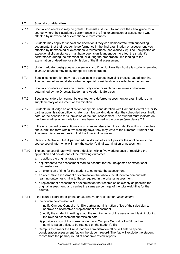#### <span id="page-36-0"></span>**7.7 Special consideration**

- 7.7.1 Special consideration may be granted to assist a student to improve their final grade for a course, where their academic performance in the final examination or assessment was affected by unexpected or exceptional circumstances.
- 7.7.2 Students may apply for special consideration if they can demonstrate, with supporting documents, that their academic performance in the final examination or assessment was affected by unexpected or exceptional circumstances (see clause 7.8). The unexpected or exceptional circumstances must have been significant enough to affect the student's performance during the examination, or during the preparation time leading to the examination or deadline for submission of the final assessment.
- 7.7.3 Undergraduate, postgraduate coursework and Open Universities Australia students enrolled in UniSA courses may apply for special consideration.
- 7.7.4 Special consideration may not be available in courses involving practice-based learning. The course outline must state whether special consideration is available in the course.
- 7.7.5 Special consideration may be granted only once for each course, unless otherwise determined by the Director: Student and Academic Services.
- 7.7.6 Special consideration cannot be granted for a deferred assessment or examination, or a supplementary assessment or examination.
- 7.7.7 Students must lodge an application for special consideration with Campus Central or UniSA partner administration office no later than five working days after the scheduled examination date, or the deadline for submission of the final assessment. The student must indicate on the form whether other variations have been granted in the course (see clause 7.1).
- 7.7.8 If the unexpected or exceptional circumstances also affect the student's ability to complete and submit the form within five working days, they may write to the Director: Student and Academic Services requesting that the time limit be waived.
- 7.7.9 Campus Central or UniSA partner administration office will provide the application to the course coordinator, who will mark the student's final examination or assessment.
- 7.7.10 The course coordinator will make a decision within five working days of receiving the application and decide one of the following outcomes:
	- a. no action: the original grade stands
	- b. adjustment to the assessment mark to account for the unexpected or exceptional circumstances
	- c. an extension of time for the student to complete the assessment
	- d. an alternative assessment or examination that allows the student to demonstrate learning outcomes similar to those required in the original assessment
	- e. a replacement assessment or examination that resembles as closely as possible the original assessment, and carries the same percentage of the total weighting for the course.
- 7.7.11 If the course coordinator grants an alternative or replacement *assessment*:
	- a. the course coordinator will:
		- i) notify Campus Central or UniSA partner administration office of their decision to approve an alternative or replacement assessment.
		- ii) notify the student in writing about the requirements of the assessment task, including the revised assessment submission date
		- iii) provide a copy of the correspondence to Campus Central or UniSA partner administration office, to be retained on the student's file
	- b. Campus Central or the UniSA partner administration office will enter a special consideration assessment flag on the student record. The flag will exclude the student record from the primary round of academic review reports.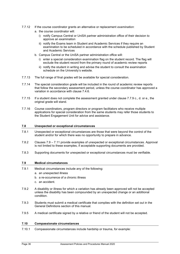- 7.7.12 If the course coordinator grants an alternative or replacement *examination*:
	- a. the course coordinator will:
		- i) notify Campus Central or UniSA partner administration office of their decision to approve an examination
		- ii) notify the Exams team in Student and Academic Services if they require an examination to be scheduled in accordance with the schedule published by Student and Academic Services
	- b. Campus Central or the UniSA partner administration office will:
		- i) enter a special consideration examination flag on the student record. The flag will exclude the student record from the primary round of academic review reports
		- ii) notify the student in writing and advise the student to consult the examination schedule on the University's website.
- 7.7.13 The full range of final grades will be available for special consideration.
- 7.7.14 The special consideration grade will be included in the round of academic review reports that follow the secondary assessment period, unless the course coordinator has approved a variation in accordance with clause 7.4.6.
- 7.7.15 If a student does not complete the assessment granted under clause 7.7.9 c., d. or e., the original grade will stand.
- 7.7.16 Course coordinators, program directors or program facilitators who receive multiple applications for special consideration from the same students may refer those students to the Student Engagement Unit for advice and assistance.

#### <span id="page-37-0"></span>**7.8 Unexpected or exceptional circumstances**

- 7.8.1 Unexpected or exceptional circumstances are those that were beyond the control of the student and/or for which there was no opportunity to prepare in advance.
- 7.8.2 Clauses 7.9 7.11 provide examples of unexpected or exceptional circumstances. Approval is not limited to these examples, if acceptable supporting documents are provided.
- 7.8.3 Supporting documents for unexpected or exceptional circumstances must be verifiable.

#### <span id="page-37-1"></span>**7.9 Medical circumstances**

- 7.9.1 Medical circumstances include any of the following:
	- a. an unexpected illness
	- b. a re-occurrence of a chronic illness
	- c. an accident.
- 7.9.2 A disability or illness for which a variation has already been approved will not be accepted unless the disability has been compounded by an unexpected change or an additional condition.
- 7.9.3 Students must submit a medical certificate that complies with the definition set out in the General Definitions section of this manual.
- 7.9.5 A medical certificate signed by a relative or friend of the student will not be accepted.

#### <span id="page-37-2"></span>**7.10 Compassionate circumstances**

7.10.1 Compassionate circumstances include hardship or trauma, for example: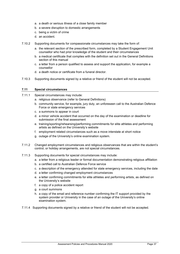- a. a death or serious illness of a close family member
- b. a severe disruption to domestic arrangements
- c. being a victim of crime
- d. an accident.
- 7.10.2 Supporting documents for compassionate circumstances may take the form of:
	- a. the relevant section of the prescribed form, completed by a Student Engagement Unit counsellor who had prior knowledge of the student and their circumstances
	- b. a medical certificate that complies with the definition set out in the General Definitions section of this manual
	- c. a letter from a person qualified to assess and support the application, for example a counsellor
	- d. a death notice or certificate from a funeral director.
- 7.10.3 Supporting documents signed by a relative or friend of the student will not be accepted.

#### <span id="page-38-0"></span>**7.11 Special circumstances**

- 7.11.1 Special circumstances may include:
	- a. religious observance (refer to General Definitions)
	- b. community service, for example, jury duty, an unforeseen call to the Australian Defence Force or state emergency services
	- c. a summons to appear in court
	- d. a minor vehicle accident that occurred on the day of the examination or deadline for submission of the final assessment
	- e. training/sporting/rehearsing/performing commitments for elite athletes and performing artists as defined on the University's website
	- f. employment related circumstances such as a move interstate at short notice
	- g. outage of the University's online examination system.
- 7.11.2 Changed employment circumstances and religious observances that are within the student's control, or holiday arrangements, are not special circumstances.
- 7.11.3 Supporting documents for special circumstances may include:
	- a. a letter from a religious leader or formal documentation demonstrating religious affiliation
	- b. a certified call to Australian Defence Force service
	- c. a description of the emergency attended for state emergency services, including the date
	- d. a letter confirming changed employment circumstances
	- e. a letter confirming commitments for elite athletes and performing artists, as defined on the University's website
	- f. a copy of a police accident report
	- g. a court summons
	- h. a copy of the email and reference number confirming the IT support provided by the system provider or University in the case of an outage of the University's online examination system.
- 7.11.4 Supporting documents signed by a relative or friend of the student will not be accepted.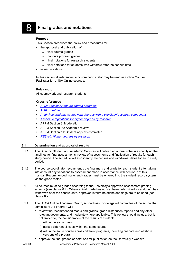### <span id="page-39-0"></span>8 **Final grades and notations**

#### **Purpose**

This Section prescribes the policy and procedures for:

- the approval and publication of:
	- o final course grades
	- o honours program grades
	- o final notations for research students
	- $\circ$  final notations for students who withdraw after the census date
- interim notations

In this section all references to course coordinator may be read as Online Course Facilitator for UniSA Online courses.

#### **Relevant to**

All coursework and research students

#### **Cross-references**

- *[A-42: Bachelor Honours degree programs](https://i.unisa.edu.au/policies-and-procedures/university-policies/academic/a-42/)*
- *[A-48: Enrolment](https://i.unisa.edu.au/policies-and-procedures/university-policies/academic/a-48/)*
- *[A-49: Postgraduate coursework degrees with a significant research component](https://i.unisa.edu.au/policies-and-procedures/university-policies/academic/a-49/)*
- *[Academic regulations for higher degrees by research](https://i.unisa.edu.au/policies-and-procedures/university-policies/research/res-10-regulations/)*
- **APPM Section 3: Moderation**
- **APPM Section 10: Academic review**
- APPM Section 11: Student appeals committee
- *[RES-10: Higher degrees by research](https://i.unisa.edu.au/policies-and-procedures/university-policies/research/res-10/)*

#### <span id="page-39-1"></span>**8.1 Determination and approval of results**

- 8.1.1 The Director: Student and Academic Services will publish an annual schedule specifying the timelines for final assessments, review of assessments and finalisation of results for each study period. The schedule will also identify the census and withdrawal dates for each study period.
- 8.1.2 The course coordinator recommends the final mark and grade for each student after taking into account any variations to assessment made in accordance with section 7 of this manual. Recommended marks and grades must be entered into the student record system via the grade roster.
- 8.1.3 All courses must be graded according to the University's approved assessment grading schema (see clause 8.4). Where a final grade has not yet been determined, or a student has withdrawn after the census date, approved interim notations and flags are to be used (see clause 8.2).
- 8.1.4 The UniSA Online Academic Group, school board or delegated committee of the school that administers the program will:
	- a. review the recommended marks and grades, grade distribution reports and any other relevant documents, and moderate where applicable. This review should include, but is not limited to, the consideration of the results of students:
		- i) within the same class
		- ii) across different classes within the same course
		- iii) within the same course across different programs, including onshore and offshore versions of a program
	- b. approve the final grades or notations for publication on the University's website.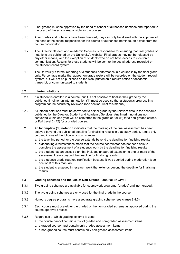- 8.1.5 Final grades must be approved by the head of school or authorised nominee and reported to the board of the school responsible for the course.
- 8.1.6 After grades and notations have been finalised, they can only be altered with the approval of the head of the school responsible for the course or authorised nominee, on advice from the course coordinator.
- 8.1.7 The Director: Student and Academic Services is responsible for ensuring that final grades or notations are published on the University's website. Final grades may not be released by any other means, with the exception of students who do not have access to electronic communication. Results for these students will be sent to the postal address recorded on the student record system.
- 8.1.8 The University's formal reporting of a student's performance in a course is by the final grade only. Percentage marks that appear on grade rosters will be recorded on the student record system, but will not be published on the web, printed on a results notice or academic transcript, or communicated to students.

#### <span id="page-40-0"></span>**8.2 Interim notations**

- 8.2.1 If a student is enrolled in a course, but it is not possible to finalise their grade by the published timeline, an interim notation ('I') must be used so that a student's progress in a program can be accurately reviewed (see section 10 of this manual).
- 8.2.2 All interim notations must be converted to a final grade by the relevant date in the schedule published by the Director: Student and Academic Services. Any interim notations not converted within one year will be converted to the grade of Fail (F) for a non-graded course, or Fail Level 2 (F2) for a graded course.
- 8.2.3 An **Incomplete ('I') notation** indicates that the marking of the final assessment has been delayed beyond the published deadline for finalising results in that study period. It may only be used in one of the following circumstances:
	- a. the teaching period for the course extends beyond the deadline for finalising results
	- b. extenuating circumstances mean that the course coordinator has not been able to complete the assessment of a student's work by the deadline for finalising results
	- c. the student has an access plan that includes an agreed extension to one or more of the assessment tasks beyond the deadline for finalising results
	- d. the student's grade requires clarification because it was queried during moderation (see section 3 of this manual)
	- e. the student is engaged in research work that extends beyond the deadline for finalising results.

#### <span id="page-40-1"></span>**8.3 Grading schemes and the use of Non-Graded Pass/Fail (NGP/F)**

- 8.3.1 Two grading schemes are available for coursework programs: 'graded' and 'non-graded'.
- 8.3.2 The two grading schemes are only used for the final grade in the course.
- 8.3.3 Honours degree programs have a separate grading scheme (see clause 8.4.5).
- 8.3.4 Each course must use either the graded or the non-graded scheme as approved during the course approval process.
- 8.3.5 Regardless of which grading scheme is used:
	- a. the course cannot contain a mix of graded and non-graded assessment items
	- b. a graded course must contain only graded assessment items
	- c. a non-graded course must contain only non-graded assessment items.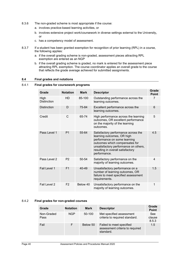- 8.3.6 The non-graded scheme is most appropriate if the course:
	- a. involves practice-based learning activities, or
	- b. involves extensive project work/coursework in diverse settings external to the University, or
	- c. has a competency model of assessment.
- 8.3.7 If a student has been granted exemption for recognition of prior learning (RPL) in a course, the following applies:
	- a. if the overall grading scheme is non-graded, assessment pieces attracting RPL exemption are entered as an NGP
	- b. if the overall grading scheme is graded, no mark is entered for the assessment piece attracting RPL exemption. The course coordinator applies an overall grade to the course that reflects the grade average achieved for submitted assignments.

#### <span id="page-41-0"></span>**8.4 Final grades and notations**

#### 8.4.1 **Final grades for coursework programs**

| Grade                      | <b>Notation</b> | <b>Mark</b> | <b>Descriptor</b>                                                                                                                                                                                                                 | Grade<br><b>Point</b> |
|----------------------------|-----------------|-------------|-----------------------------------------------------------------------------------------------------------------------------------------------------------------------------------------------------------------------------------|-----------------------|
| High<br><b>Distinction</b> | HD              | 85-100      | Outstanding performance across the<br>learning outcomes.                                                                                                                                                                          | 7                     |
| <b>Distinction</b>         | D               | 75-84       | Excellent performance across the<br>learning outcomes.                                                                                                                                                                            | 6                     |
| Credit                     | C               | 65-74       | High performance across the learning<br>outcomes, OR excellent performance<br>on the majority of the learning<br>outcomes.                                                                                                        | 5                     |
| Pass Level 1               | P <sub>1</sub>  | 55-64       | Satisfactory performance across the<br>learning outcomes, OR high<br>performance on some learning<br>outcomes which compensates for<br>unsatisfactory performance on others,<br>resulting in overall satisfactory<br>performance. | 4.5                   |
| Pass Level 2               | P <sub>2</sub>  | $50 - 54$   | Satisfactory performance on the<br>majority of learning outcomes.                                                                                                                                                                 | 4                     |
| Fail Level 1               | F <sub>1</sub>  | $40 - 49$   | Unsatisfactory performance on a<br>number of learning outcomes, OR<br>failure to meet specified assessment<br>requirements.                                                                                                       | 1.5                   |
| Fail Level 2               | F <sub>2</sub>  | Below 40    | Unsatisfactory performance on the<br>majority of learning outcomes.                                                                                                                                                               | 1                     |

#### 8.4.2 **Final grades for non-graded courses**

| Grade              | <b>Notation</b> | <b>Mark</b> | <b>Descriptor</b>                                                        | Grade<br><b>Point</b>  |
|--------------------|-----------------|-------------|--------------------------------------------------------------------------|------------------------|
| Non-Graded<br>Pass | <b>NGP</b>      | 50-100      | Met specified assessment<br>criteria to required standard.               | See<br>clause<br>8.5.3 |
| Fail               |                 | Below 50    | Failed to meet specified<br>assessment criteria to required<br>standard. | 1.5                    |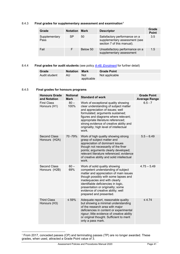#### 8.4.3 **Final grades for supplementary assessment and examination[1](#page-42-0)**

| Grade                 | <b>Notation Mark</b> |          | <b>Descriptor</b>                                                                            | Grade<br><b>Point</b> |
|-----------------------|----------------------|----------|----------------------------------------------------------------------------------------------|-----------------------|
| Supplementary<br>Pass | SP                   | 50       | Satisfactory performance on a<br>supplementary assessment (see<br>section 7 of this manual). | 3.5                   |
| Fail                  |                      | Below 50 | Unsatisfactory performance on a<br>supplementary assessment                                  | 1.5                   |

#### 8.4.4 **Final grades for audit students** (see policy *A-48: [Enrolment](https://i.unisa.edu.au/policies-and-procedures/university-policies/academic/a-48/)* for further detail)

| Grade         | <b>Notation</b> | Mark              | <b>Grade Point</b> |
|---------------|-----------------|-------------------|--------------------|
| Audit student | AU              | Not<br>applicable | Not applicable     |

#### 8.4.5 **Final grades for honours programs**

| <b>Honours Grade</b><br>and Notation | <b>Notional</b><br><b>Mark</b> | <b>Standard of work</b>                                                                                                                                                                                                                                                                                                             | <b>Grade Point</b><br><b>Average Range</b> |
|--------------------------------------|--------------------------------|-------------------------------------------------------------------------------------------------------------------------------------------------------------------------------------------------------------------------------------------------------------------------------------------------------------------------------------|--------------------------------------------|
| <b>First Class</b><br>Honours (H1)   | $80 -$<br>100%                 | Work of exceptional quality showing<br>clear understanding of subject matter<br>and appreciation of issues; well<br>formulated; arguments sustained;<br>figures and diagrams where relevant;<br>appropriate literature referenced;<br>strong evidence of creative ability and<br>originality; high level of intellectual<br>work.   | $6.5 - 7$                                  |
| <b>Second Class</b><br>Honours (H2A) | 70 - 79%                       | Work of high quality showing strong<br>grasp of subject matter and<br>appreciation of dominant issues<br>though not necessarily of the finer<br>points; arguments clearly developed;<br>relevant literature referenced; evidence<br>of creative ability and solid intellectual<br>work.                                             | $5.5 - 6.49$                               |
| <b>Second Class</b><br>Honours (H2B) | $60 -$<br>69%                  | Work of solid quality showing<br>competent understanding of subject<br>matter and appreciation of main issues<br>though possibly with some lapses and<br>inadequacies and with clearly<br>identifiable deficiencies in logic,<br>presentation or originality; some<br>evidence of creative ability; well<br>prepared and presented. | $4.75 - 5.49$                              |
| <b>Third Class</b><br>Honours (H3)   | $\leq 59\%$                    | Adequate report, reasonable quality<br>but showing a minimal understanding<br>of the research area with major<br>deficiencies in content or experimental<br>rigour; little evidence of creative ability<br>or original thought. Sufficient to merit<br>only a pass mark.                                                            | $\leq 4.74$                                |

<span id="page-42-0"></span> $1$  From 2017, conceded passes (CP) and terminating passes (TP) are no longer awarded. These grades, when used, attracted a Grade Point value of 3.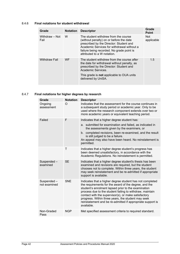#### 8.4.6 **Final notations for student withdrawal**

| Grade                  | <b>Notation</b> | <b>Descriptor</b>                                                                                                                                                                                                                                    | Grade<br><b>Point</b>    |
|------------------------|-----------------|------------------------------------------------------------------------------------------------------------------------------------------------------------------------------------------------------------------------------------------------------|--------------------------|
| Withdraw - Not<br>Fail | W               | The student withdrew from the course<br>(without penalty) on or before the date<br>prescribed by the Director: Student and<br>Academic Services for withdrawal without a<br>failure being recorded. No grade point is<br>attributed to a W notation. | <b>Not</b><br>applicable |
| <b>Withdraw Fail</b>   | <b>WF</b>       | The student withdrew from the course after<br>the date for withdrawal without penalty, as<br>prescribed by the Director: Student and<br>Academic Services.<br>This grade is <b>not</b> applicable to OUA units<br>delivered by UniSA.                | 1.5                      |

#### 8.4.7 **Final notations for higher degrees by research**

| Grade                      | <b>Notation</b> | <b>Descriptor</b>                                                                                                                                                                                                                                                                                                                                                                                                              |
|----------------------------|-----------------|--------------------------------------------------------------------------------------------------------------------------------------------------------------------------------------------------------------------------------------------------------------------------------------------------------------------------------------------------------------------------------------------------------------------------------|
| Ongoing<br>assessment      | O               | Indicates that the assessment for the course continues in<br>a subsequent study period or academic year. Only to be<br>used where the research component extends over two or<br>more academic years or equivalent teaching period.                                                                                                                                                                                             |
| Failed                     | F               | Indicates that a higher degree student has:                                                                                                                                                                                                                                                                                                                                                                                    |
|                            |                 | a. submitted for examination and failed, as indicated in<br>the assessments given by the examiners, or<br>b. completed revisions, been re-examined, and the result<br>is still judged to be a failure.<br>An appeal may also have been heard. No reinstatement is<br>permitted.                                                                                                                                                |
|                            | Τ               | Indicates that a higher degree student's progress has<br>been deemed unsatisfactory, in accordance with the<br>Academic Regulations. No reinstatement is permitted.                                                                                                                                                                                                                                                            |
| Suspended-<br>examined     | <b>SE</b>       | Indicates that a higher degree student's thesis has been<br>examined and revisions are required, but the student<br>chooses not to complete. Within three years, the student<br>may seek reinstatement and be re-admitted if appropriate<br>support is available.                                                                                                                                                              |
| Suspended-<br>not examined | <b>SNE</b>      | Indicates that a higher degree student has not completed<br>the requirements for the award of the degree, and the<br>student's enrolment lapsed prior to the examination<br>process due to the student failing to withdraw, maintain<br>contact with the supervisor(s), or make satisfactory<br>progress. Within three years, the student may seek<br>reinstatement and be re-admitted if appropriate support is<br>available. |
| Non-Graded<br>Pass         | <b>NGP</b>      | Met specified assessment criteria to required standard.                                                                                                                                                                                                                                                                                                                                                                        |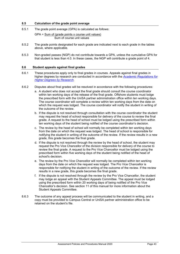#### <span id="page-44-0"></span>**8.5 Calculation of the grade point average**

8.5.1 The grade point average (GPA) is calculated as follows: 
$$
GPA = \underline{Sum \text{ of (grade points x course unit values)}}
$$
 Sum of course unit values

- 8.5.2 The grade points designated for each grade are indicated next to each grade in the tables above, where applicable.
- 8.5.3 Non-graded passes (NGP) do not contribute towards a GPA, unless the cumulative GPA for that student is less than 4.0. In these cases, the NGP will contribute a grade point of 4.

#### <span id="page-44-1"></span>**8.6 Student appeals against final grades**

- 8.6.1 These procedures apply only to final grades in courses. Appeals against final grades in higher degrees by research are conducted in accordance with the *[Academic Regulations for](https://i.unisa.edu.au/policies-and-procedures/university-policies/research/res-10-regulations/)  [Higher Degrees by Research](https://i.unisa.edu.au/policies-and-procedures/university-policies/research/res-10-regulations/)*.
- 8.6.2 Disputes about final grades will be resolved in accordance with the following procedures:
	- a. A student who does not accept the final grade should consult the course coordinator within ten working days of the release of the final grade. Offshore students must lodge the prescribed form with the UniSA partner administration office within ten working days. The course coordinator will complete a review within ten working days from the date on which the request was lodged. The course coordinator will notify the student in writing of the outcome of the review.
	- b. If the dispute is not resolved through consultation with the course coordinator the student may request the head of school responsible for delivery of the course to review the final grade. A request to the head of school must be lodged using the prescribed form within ten working days of the student being notified of the course coordinator's decision.
	- c. The review by the head of school will normally be completed within ten working days from the date on which the request was lodged. The head of school is responsible for notifying the student in writing of the outcome of the review. If the review results in a new grade, this grade becomes the final grade.
	- d. If the dispute is not resolved through the review by the head of school, the student may request the Pro Vice Chancellor of the division responsible for delivery of the course to review the final grade. A request to the Pro Vice Chancellor must be lodged using the prescribed form within five working days of the student being notified of the head of school's decision.
	- e. The review by the Pro Vice Chancellor will normally be completed within ten working days from the date on which the request was lodged. The Pro Vice Chancellor is responsible for notifying the student in writing of the outcome of the review. If the review results in a new grade, this grade becomes the final grade.
	- f. If the dispute is not resolved through the review by the Pro Vice Chancellor, the student may lodge an appeal with the Student Appeals Committee. The appeal must be lodged using the prescribed form within 20 working days of being notified of the Pro Vice Chancellor's decision. See section 11 of this manual for more information about the Student Appeals Committee.
- 8.6.3 The outcome of any appeal process will be communicated to the student in writing, and a copy must be provided to Campus Central or UniSA partner administration office to be retained on the student's file.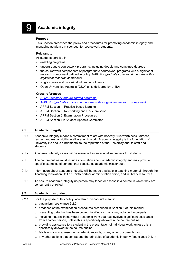<span id="page-45-0"></span>9 **Academic integrity**

#### **Purpose**

This Section prescribes the policy and procedures for promoting academic integrity and managing academic misconduct for coursework students.

#### **Relevant to**

All students enrolled in:

- **enabling programs**
- undergraduate coursework programs, including double and combined degrees
- the coursework components of postgraduate coursework programs with a significant research component defined in policy *A-49: Postgraduate coursework degrees with a significant research component*
- single course and cross-institutional enrolments
- Open Universities Australia (OUA) units delivered by UniSA

#### **Cross-references**

- *[A-42: Bachelor Honours degree programs](https://i.unisa.edu.au/policies-and-procedures/university-policies/academic/a-42/)*
- *A-49: [Postgraduate coursework degrees with a significant research component](https://i.unisa.edu.au/policies-and-procedures/university-policies/academic/a-49/)*
- **APPM Section 4: Practice-based learning**
- **APPM Section 5: Re-marking and Re-submission**
- **APPM Section 6: Examination Procedures**
- APPM Section 11: Student Appeals Committee

#### <span id="page-45-1"></span>**9.1 Academic integrity**

- 9.1.1 Academic integrity means a commitment to act with honesty, trustworthiness, fairness, respect and responsibility in all academic work. Academic integrity is the foundation of university life and is fundamental to the reputation of the University and its staff and students.
- 9.1.2 Academic integrity cases will be managed as an educative process for students.
- 9.1.3 The course outline must include information about academic integrity and may provide specific examples of conduct that constitutes academic misconduct.
- 9.1.4 Information about academic integrity will be made available in teaching material, through the Teaching Innovation Unit or UniSA partner administration office, and in library resources.
- 9.1.5 To ensure academic integrity no person may teach or assess in a course in which they are concurrently enrolled.

#### <span id="page-45-2"></span>**9.2 Academic misconduct**

- 9.2.1 For the purpose of this policy, academic misconduct means:
	- a. plagiarism (see clause 9.2.2)
	- b. breaches of the examination procedures prescribed in Section 6 of this manual
	- c. presenting data that has been copied, falsified or in any way obtained improperly
	- d. including material in individual academic work that has involved significant assistance from another person, unless this is specifically allowed in the course outline
	- e. providing assistance to a student in the presentation of individual work, unless this is specifically allowed in the course outline
	- f. falsifying or misrepresenting academic records, or any other documents, and
	- g. any other actions that contravene the principles of academic integrity (see clause 9.1.1).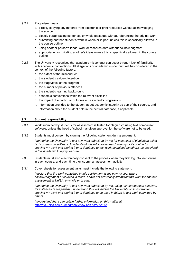- 9.2.2 Plagiarism means:
	- a. directly copying any material from electronic or print resources without acknowledging the source
	- b. closely paraphrasing sentences or whole passages without referencing the original work
	- c. submitting another student's work in whole or in part, unless this is specifically allowed in the course outline
	- d. using another person's ideas, work or research data without acknowledgment
	- e. appropriating or imitating another's ideas unless this is specifically allowed in the course outline.
- 9.2.3 The University recognises that academic misconduct can occur through lack of familiarity with academic conventions. All allegations of academic misconduct will be considered in the context of the following factors:
	- a. the extent of the misconduct
	- b. the student's evident intention
	- c. the stage/level of the program
	- d. the number of previous offences
	- e. the student's learning background
	- f. academic conventions within the relevant discipline
	- g. the impact of a particular outcome on a student's progression
	- h. information provided to the student about academic integrity as part of their course, and
	- i. information about the student held in the central database, if applicable.

#### <span id="page-46-0"></span>**9.3 Student responsibility**

- 9.3.1 Work submitted by students for assessment is tested for plagiarism using text comparison software, unless the head of school has given approval for the software not to be used.
- 9.3.2 Students must consent by signing the following statement during enrolment:

*I authorise the University to test any work submitted by me for instances of plagiarism using text comparison software. I understand this will involve the University or its contractor copying my work and storing it on a database to test work submitted by others, as described in the Academic Integrity website.*

- 9.3.3 Students must also electronically consent to the process when they first log into *learnonline* in each course, and each time they submit an assessment activity.
- 9.3.4 Cover sheets for assessment tasks must include the following statement:

*I* declare that the work contained in this assignment is my own, except where *acknowledgement of sources is made. I have not previously submitted this work for another assessment at UniSA, in whole or in part.*

*I authorise the University to test any work submitted by me, using text comparison software, for instances of plagiarism. I understand this will involve the University or its contractor copying my work and storing it on a database to be used in future to test work submitted by others.*

*I understand that I can obtain further information on this matter at* <https://lo.unisa.edu.au/mod/book/view.php?id=252142>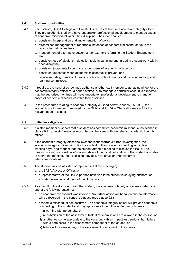#### <span id="page-47-0"></span>**9.4 Staff responsibilities**

- 9.4.1 Each school, UniSA College and UniSA Online, has at least one academic integrity officer. They are academic staff who have undertaken professional development to manage cases of academic misconduct within their discipline. Their role enables:
	- a. consistent interpretation and implementation of policy
	- b. streamlined management of reportable instances of academic misconduct, up to the level of formal committees
	- c. management of alternative outcomes, for example referral to the Student Engagement Unit
	- d. consistent use of plagiarism detection tools in sampling and targeting student work within each discipline
	- e. consistent judgments to be made about cases of academic misconduct
	- f. consistent outcomes when academic misconduct is proven, and
	- g. regular reporting to relevant heads of schools, school boards and division teaching and learning committees.
- 9.4.2 If required, the head of school may authorise another staff member to act as nominee for the academic integrity officer for a period of time, or to manage a particular case. It is expected that the authorised nominee will have undertaken professional development to manage cases of academic misconduct within their discipline.
- 9.4.3 In the procedures relating to academic integrity outlined below (clauses 9.5 9.8), the academic staff member nominated by the Divisional Pro Vice Chancellor may act for the relevant head of school.

#### <span id="page-47-1"></span>**9.5 Initial investigation**

- 9.5.1 If a staff member suspects that a student has committed academic misconduct as defined in clause 9.2.1, the staff member must discuss the issue with the relevant academic integrity officer.
- 9.5.2 If the academic integrity officer believes the issue warrants further investigation, the academic integrity officer will notify the student of their concerns in writing within five working days, and request that the student attend a meeting to discuss the issue. The meeting should occur within 20 working days of the initial notification. If the student is unable to attend the meeting, the discussion may occur via email or phone/internet telecommunications.
- 9.5.3 The student may be assisted or represented at the meeting by:
	- a. a USASA Advocacy Officer, or
	- b. a representative of the UniSA partner institution if the student is studying offshore, or
	- c. any staff member or student of the University.
- 9.5.4 As a result of the discussion with the student, the academic integrity officer may determine one of the following outcomes:
	- a. no academic misconduct was involved. No further action will be taken and no information will be recorded in the central database (see clause 9.8)
	- b. academic misconduct has occurred. The academic integrity officer will provide academic counselling to the student and may apply one of the following further outcomes:
		- i) a warning with no penalty, or
		- ii) re-submission of the assessment task, if re-submissions are allowed in the course, or
		- iii) another outcome appropriate to the case but with an impact less serious than failure with a zero score in the assessment component of the course, or
		- iv) failure with a zero score, in the assessment component of the course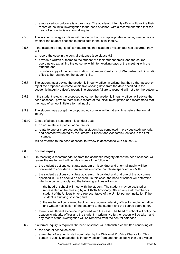- c. a more serious outcome is appropriate. The academic integrity officer will provide their record of the initial investigation to the head of school with a recommendation that the head of school initiate a formal inquiry.
- 9.5.5 The academic integrity officer will decide on the most appropriate outcome, irrespective of whether the student chooses to participate in the initial inquiry.
- 9.5.6 If the academic integrity officer determines that academic misconduct has occurred, they will:
	- a. record the case in the central database (see clause 9.8)
	- b. provide a written outcome to the student, via their student email, and the course coordinator, explaining the outcome within ten working days of the meeting with the student, and
	- c. provide a copy of the communication to Campus Central or UniSA partner administration office to be retained on the student's file.
- 9.5.7 The student must advise the academic integrity officer in writing that they either accept or reject the proposed outcome within five working days from the date specified in the academic integrity officer's report. The student's failure to respond will not alter the outcome.
- 9.5.8 If the student rejects the proposed outcome, the academic integrity officer will advise the head of school, provide them with a record of the initial investigation and recommend that the head of school initiate a formal inquiry.
- 9.5.9 The student may accept the proposed outcome in writing at any time before the formal inquiry
- 9.5.10 Cases of alleged academic misconduct that:
	- a. do not relate to a particular course, or
	- b. relate to one or more courses that a student has completed in previous study periods, and deemed warranted by the Director: Student and Academic Services in the first instance,

will be referred to the head of school to review in accordance with clause 9.6.

#### <span id="page-48-0"></span>**9.6 Formal inquiry**

- 9.6.1 On receiving a recommendation from the academic integrity officer the head of school will review the matter and will decide on one of the following:
	- a. the student's actions constitute academic misconduct and a formal inquiry will be convened to consider a more serious outcome than those specified in 9.5.4b.
	- b. the student's actions constitute academic misconduct and that one of the outcomes specified in 9.5.4b should be applied. In this case, the head of school will determine which outcome to apply and the following actions will occur:
		- i) the head of school will meet with the student. The student may be assisted or represented at the meeting by a USASA Advocacy Officer, any staff member or student of the University, or a representative of the UniSA partner institution if the student is studying offshore; and
		- ii) the matter will be referred back to the academic integrity officer for implementation and written notification of the outcome to the student and the course coordinator.
	- c. there is insufficient evidence to proceed with the case. The head of school will notify the academic integrity officer and the student in writing. No further action will be taken and any record of the investigation will be removed from the central database.
- 9.6.2 If a formal inquiry is required, the head of school will establish a committee consisting of:
	- a. the head of school as chair
	- b. a member of academic staff nominated by the Divisional Pro Vice Chancellor. This person is usually an academic integrity officer from another school within the division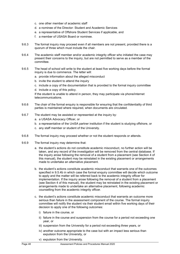- c. one other member of academic staff
- d. a nominee of the Director: Student and Academic Services
- e. a representative of Offshore Student Services if applicable, and
- f. a member of USASA Board or nominee.
- 9.6.3 The formal inquiry may proceed even if all members are not present, provided there is a quorum of three which must include the chair.
- 9.6.4 The academic staff member and/or academic integrity officer who initiated the case may present their concerns to the inquiry, but are not permitted to serve as a member of the committee.
- 9.6.5 The head of school will write to the student at least five working days before the formal inquiry is due to commence. The letter will:
	- a. provide information about the alleged misconduct
	- b. invite the student to attend the inquiry
	- c. include a copy of the documentation that is provided to the formal inquiry committee
	- d. include a copy of this policy.

If the student is unable to attend in person, they may participate via phone/internet telecommunications.

- 9.6.6 The chair of the formal enquiry is responsible for ensuring that the confidentiality of third parties is maintained where required, when documents are circulated.
- 9.6.7 The student may be assisted or represented at the inquiry by:
	- a. a USASA Advocacy Officer, or
	- b. a representative of the UniSA partner institution if the student is studying offshore, or
	- c. any staff member or student of the University.
- 9.6.8 The formal inquiry may proceed whether or not the student responds or attends.
- 9.6.9 The formal inquiry may determine that:
	- a. the student's actions do not constitute academic misconduct, no further action will be taken, and any record of the investigation will be removed from the central database. If the inquiry arose following the removal of a student from a placement (see Section 4 of this manual), the student may be reinstated in the existing placement or arrangements made to undertake an alternative placement.
	- b. the student's actions constitute academic misconduct that warrants one of the outcomes specified in 9.5.4b in which case the formal enquiry committee will decide which outcome to apply and the matter will be referred back to the academic integrity officer for implementation. If the inquiry arose following the removal of a student from a placement (see Section 4 of this manual), the student may be reinstated in the existing placement or arrangements made to undertake an alternative placement, following academic counselling from the academic integrity officer.
	- c. the student's actions constitute academic misconduct that warrants an outcome more serious than failure in the assessment component of the course. The formal inquiry committee will notify the student via their student email within five working days of their decision to apply one of the following outcomes:
		- i) failure in the course, or
		- ii) failure in the course and suspension from the course for a period not exceeding one year, or
		- iii) suspension from the University for a period not exceeding three years, or
		- iv) another outcome appropriate to the case but with an impact less serious than expulsion from the University, or
		- v) expulsion from the University.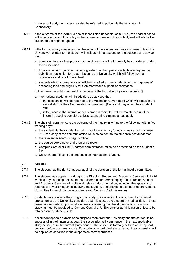In cases of fraud, the matter may also be referred to police, via the legal team in Chancellery.

- 9.6.10 If the outcome of the inquiry is one of those listed under clause 9.6.9 c., the head of school will include a copy of this policy in their correspondence to the student, and will advise the student of their right of appeal.
- 9.6.11 If the formal inquiry concludes that the action of the student warrants suspension from the University, the letter to the student will include all the reasons for the outcome and advice that:
	- a. admission to any other program at the University will not normally be considered during the suspension
	- b. for a suspension period equal to or greater than two years, students are required to submit an application for re-admission to the University which will follow normal procedures and is not guaranteed
	- c. students who gain re-admission will be classified as new students for the purposes of assessing fees and eligibility for Commonwealth support or assistance.
	- d. they have the right to appeal the decision of the formal inquiry (see clause 9.7)
	- e. international students will, in addition, be advised that:
		- i) the suspension will be reported to the Australian Government which will result in the cancellation of their Confirmation of Enrolment (CoE) and may affect their student visa
		- ii) if they access the internal appeals process their CoE will be maintained until the internal appeal is complete unless extenuating circumstances apply
- 9.6.12 The chair will communicate the outcome of the inquiry in writing to the following, within five working days:
	- a. the student via their student email. In addition to email, for outcomes set out in clause 9.6.9c; a copy of the communication will also be sent to the student's postal address.
	- b. the relevant academic integrity officer
	- c. the course coordinator and program director
	- d. Campus Central or UniSA partner administration office, to be retained on the student's file
	- e. UniSA international, if the student is an international student.

#### <span id="page-50-0"></span>**9.7 Appeals**

- 9.7.1 The student has the right of appeal against the decision of the formal inquiry committee.
- 9.7.2 The student may appeal in writing to the Director: Student and Academic Services within 20 working days of being notified of the outcome of the formal inquiry. The Director: Student and Academic Services will collate all relevant documentation, including the appeal and records of any prior inquiries involving the student, and provide this to the Student Appeals Committee for resolution in accordance with Section 11 of this manual.
- 9.7.3 Students may continue their program of study while awaiting the outcome of an internal appeal, unless the University considers that this places the student at medical risk. In these cases, appropriate supporting documents confirming that the student is fit to continue studying must be provided to Campus Central or UniSA partner administration office, to be retained on the student's file.
- 9.7.4 If a student appeals a decision to suspend them from the University and the student is not successful in their internal appeal, the suspension will commence in the next applicable study period, or in the current study period if the student is formally notified of the appeal decision before the census date. For students in their final study period, the suspension will be applied as specified in the suspension correspondence.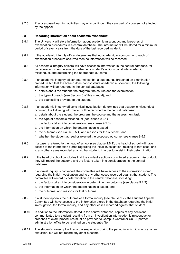9.7.5 Practice-based learning activities may only continue if they are part of a course not affected by the appeal.

#### <span id="page-51-0"></span>**9.8 Recording information about academic misconduct**

- 9.8.1 The University will store information about academic misconduct and breaches of examination procedures in a central database. The information will be stored for a minimum period of seven years from the date of the last recorded incident.
- 9.8.2 If the academic integrity officer determines that no academic misconduct or breach of examination procedure occurred then no information will be recorded.
- 9.8.3 All academic integrity officers will have access to information in the central database, for consideration when determining whether a student's actions constitute academic misconduct, and determining the appropriate outcome.
- 9.8.4 If an academic integrity officer determines that a student has breached an examination procedure but that the breach does not constitute academic misconduct, the following information will be recorded in the central database:
	- a. details about the student, the program, the course and the examination
	- b. the type of breach (see Section 6 of this manual), and
	- c. the counselling provided to the student.
- 9.8.5 If an academic integrity officer's initial investigation determines that academic misconduct occurred, the following information will be recorded in the central database:
	- a. details about the student, the program, the course and the assessment task
	- b. the type of academic misconduct (see clause 9.2.1)
	- c. the factors taken into consideration (see clause 9.2.3)
	- d. the information on which the determination is based
	- e. the outcome (see clause 9.5.4) and reasons for the outcome, and
	- f. whether the student agreed or rejected the proposed outcome (see clause 9.5.7).
- 9.8.6 If a case is referred to the head of school (see clause 9.6.1), the head of school will have access to the information stored regarding the initial investigation relating to that case, and to any other cases recorded against that student, in order to assist in their determination.
- 9.8.7 If the head of school concludes that the student's actions constituted academic misconduct, they will record the outcome and the factors taken into consideration, in the central database.
- 9.8.8 If a formal inquiry is convened, the committee will have access to the information stored regarding the initial investigation and to any other cases recorded against that student. The committee will record its determination in the central database, including:
	- a. the factors taken into consideration in determining an outcome (see clause 9.2.3)
	- b. the information on which the determination is based, and
	- c. the outcome, and reasons for that outcome.
- 9.8.9 If a student appeals the outcome of a formal inquiry (see clause 9.7), the Student Appeals Committee will have access to the information stored in the database regarding the initial investigation, the formal inquiry, and any other cases recorded against that student.
- 9.8.10 In addition to the information stored in the central database, copies of any decisions communicated to a student resulting from an investigation into academic misconduct or breaches of exam procedures must be provided to Campus Central or UniSA partner administration office to be retained on the student's file.
- 9.8.11 The student's transcript will record a suspension during the period in which it is active, or an expulsion, but will not record any other outcome.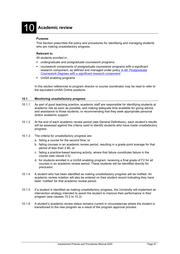# 10 **Academic review**

#### <span id="page-52-0"></span>**Purpose**

This Section prescribes the policy and procedures for identifying and managing students who are making unsatisfactory progress.

#### **Relevant to**

All students enrolled in:

- undergraduate and postgraduate coursework programs
- coursework components of postgraduate coursework programs with a significant research component, as defined and managed under policy *A-49: [Postgraduate](https://i.unisa.edu.au/policies-and-procedures/university-policies/academic/a-49/)  [Coursework Degrees with a significant research component](https://i.unisa.edu.au/policies-and-procedures/university-policies/academic/a-49/)*
- **UniSA enabling programs**

<span id="page-52-1"></span>In this section references to program director or course coordinator may be read to refer to the equivalent UniSA Online positions.

#### **10.1 Monitoring unsatisfactory progress**

- 10.1.1 As part of good teaching practice, academic staff are responsible for identifying students at academic risk as soon as possible, and making adequate time available for giving advice and assistance to those students, or recommending that they seek appropriate personal and/or academic support.
- 10.1.2 At the end of each academic review period (see General Definitions), each student's results will be assessed against the criteria used to identify students who have made unsatisfactory progress.
- 10.1.3 The criteria for unsatisfactory progress are:
	- a. failing a course for the second time, or
	- b. failing courses in an academic review period, resulting in a grade point average for that period of less than 2.80, or
	- c. failing a practice-based learning activity, where that failure constitutes failure in the course (see clause 4.5)
	- d. for students enrolled in a UniSA enabling program, receiving a final grade of F2 for all courses in an academic review period. These students will be identified directly for preclusion.
- 10.1.4 A student who has been identified as making unsatisfactory progress will be notified. An academic review notation will also be entered on their student record indicating they have been 'notified' for that academic review period.
- 10.1.5 If a student is identified as making unsatisfactory progress, the University will implement an intervention strategy intended to assist the student to improve their performance in their program (see clauses 10.2 to 10.3).
- 10.1.6 A student's academic review status remains current in circumstances where the student is transitioned to the new program as a result of the program approval process.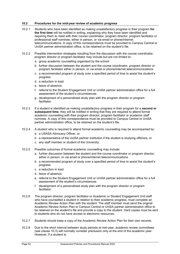#### <span id="page-53-0"></span>**10.2 Procedures for the** *mid-year* **review of academic progress**

- 10.2.1 Students who have been identified as making unsatisfactory progress in their program **for the first time** will be notified in writing, explaining why they have been identified and requiring them to meet with their course coordinator, program director, program facilitator or professional staff nominee, either in person, or via email or phone/internet telecommunications. A copy of this correspondence must be provided to Campus Central or UniSA partner administration office, to be retained on the student's file.
- 10.2.2 Possible intervention strategies resulting from the discussion with the course coordinator, program director or program facilitator may include but are not limited to:
	- a. group academic counselling organised by the school
	- b. further discussion between the student and the course coordinator, program director or program facilitator either in person, or via email or phone/internet telecommunications
	- c. a recommended program of study over a specified period of time to assist the student's progress
	- d. a reduction in load
	- e. leave of absence
	- f. referral to the Student Engagement Unit or UniSA partner administration office for a full assessment of the student's circumstances
	- g. development of a personalised study plan with the program director or program facilitator.
- 10.2.3 If a student is identified as making unsatisfactory progress in their program for a **second or subsequent time**, they will be notified in writing that they are required to attend formal academic counselling with their program director, program facilitator or academic staff nominee. A copy of this correspondence must be provided to Campus Central or UniSA partner administration office, to be retained on the student's file.
- 10.2.4 A student who is required to attend formal academic counselling may be accompanied by:
	- a. a USASA Advocacy Officer, or
	- b. a representative of the UniSA partner institution if the student is studying offshore, or
	- c. any staff member or student of the University.
- 10.2.5 Possible outcomes of formal academic counselling may include:
	- a. further discussion between the student and the course coordinator or program director, either in person, or via email or phone/internet telecommunications
	- b. a recommended program of study over a specified period of time to assist the student's progress
	- c. a reduction in load
	- d. leave of absence
	- e. referral to the Student Engagement Unit or UniSA partner administration office for a full assessment of the student's circumstances
	- f. development of a personalised study plan with the program director or program facilitator.
- 10.2.6 The program director, program facilitator or Academic or Student Engagement Unit staff who have counselled a student in relation to their academic progress, must complete an Academic Review Action Plan with the student. The staff member must send the original Academic Review Action Plan to Campus Central or UniSA partner administration office to be retained on the student's file and provide a copy to the student. Hard copies must be sent to students who do not have access to electronic resources.
- 10.2.7 Students should keep a copy of the Academic Review Action Plan for their own records.
- 10.2.8 Due to the short interval between study periods at mid-year, academic review committees (see clause 10.3) will normally consider preclusion only at the end of the academic year. However, if a student is: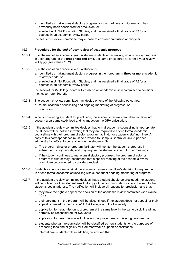- a. identified as making unsatisfactory progress for the third time at mid-year and has previously been considered for preclusion, or
- b. enrolled in UniSA Foundation Studies, and has received a final grade of F2 for all courses in an academic review period,

the academic review committee may choose to consider preclusion at mid-year.

#### <span id="page-54-0"></span>**10.3 Procedures for the** *end-of-year* **review of academic progress**

- 10.3.1 If, at the end of an academic year, a student is identified as making unsatisfactory progress in their program for the **first or second time**, the same procedures as for mid-year review will apply (see clause 10.2).
- 10.3.2 If, at the end of an academic year, a student is:
	- a. identified as making unsatisfactory progress in their program **in three or more** academic review periods, or
	- b. enrolled in UniSA Foundation Studies, and has received a final grade of F2 for all courses in an academic review period,

the school/UniSA College board will establish an academic review committee to consider their case (refer 10.4.2).

- 10.3.3 The academic review committee may decide on one of the following outcomes:
	- a. formal academic counselling and ongoing monitoring of progress, or
	- b. preclusion.
- 10.3.4 When considering a student for preclusion, the academic review committee will take into account a part-time study load and its impact on the GPA calculation.
- 10.3.5 If the academic review committee decides that formal academic counselling is appropriate, the student will be notified in writing that they are required to attend formal academic counselling with their program director, program facilitator or academic staff nominee. A copy of this correspondence must be provided to Campus Central or UniSA partner administration office, to be retained on the student's file.
	- a. The program director or program facilitator will monitor the student's progress in subsequent study periods, and may require the student to attend further meetings.
	- b. If the student continues to make unsatisfactory progress, the program director or program facilitator may recommend that a special meeting of the academic review committee be convened to consider preclusion.
- 10.3.6 Students cannot appeal against the academic review committee's decision to require them to attend formal academic counselling with subsequent ongoing monitoring of progress.
- 10.3.7 If the academic review committee decides that a student should be precluded, the student will be notified via their student email. A copy of the communication will also be sent to the student's postal address. The notification will include all reasons for preclusion and that:
	- a. they have the right to appeal the decision of the academic review committee (see clause 10.4)
	- b. their enrolment in the program will be discontinued if the student does not appeal, or their appeal is denied by the division/UniSA College and the University
	- c. application for re-admission to a program at the same level in the same discipline will not normally be reconsidered for two years
	- d. application for re-admission will follow normal procedures and is not guaranteed, and
	- e. students who gain re-admission will be classified as new students for the purposes of assessing fees and eligibility for Commonwealth support or assistance
	- f. international students will, in addition, be advised that: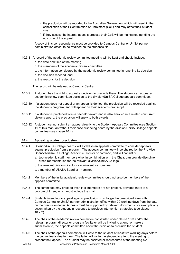- i) the preclusion will be reported to the Australian Government which will result in the cancellation of their Confirmation of Enrolment (CoE) and may affect their student visa
- ii) if they access the internal appeals process their CoE will be maintained pending the outcome of the appeal.

A copy of this correspondence must be provided to Campus Central or UniSA partner administration office, to be retained on the student's file.

- 10.3.8 A record of the academic review committee meeting will be kept and should include:
	- a. the date and time of the meeting
	- b. the members of the academic review committee
	- c. the information considered by the academic review committee in reaching its decision
	- d. the decision reached, and
	- e. the reasons for the decision

The record will be retained at Campus Central.

- 10.3.9 A student has the right to appeal a decision to preclude them. The student can appeal an academic review committee decision to the division/UniSA College appeals committee.
- 10.3.10 If a student does not appeal or an appeal is denied, the preclusion will be recorded against the student's program, and will appear on their academic transcript.
- 10.3.11 If a student is precluded from a bachelor award and is also enrolled in a related concurrent diploma award, the preclusion will apply to both awards.
- 10.3.12 A student cannot submit an appeal directly to the Student Appeals Committee (see Section 11 of this manual) without their case first being heard by the division/UniSA College appeals committee (see clause 10.4).

#### <span id="page-55-0"></span>**10.4 Appealing against preclusion**

- 10.4.1 Division/UniSA College boards will establish an appeals committee to consider appeals against preclusion from a program. The appeals committee will be chaired by the Pro Vice Chancellor/UniSA College Academic Director or nominee, and will consist of:
	- a. two academic staff members who, in combination with the Chair, can provide discipline cross-representation for the relevant division/UniSA College
	- b. the relevant division director or equivalent, or nominee
	- c. a member of USASA Board or nominee.
- 10.4.2 Members of the initial academic review committee should not also be members of the appeals committee.
- 10.4.3 The committee may proceed even if all members are not present, provided there is a quorum of three, which must include the chair.
- 10.4.4 Students intending to appeal against preclusion must lodge the prescribed form with Campus Central or UniSA partner administration office within 20 working days from the date on the preclusion letter. Appeals must be supported by relevant documents, for example any action taken by the student in response to previous intervention strategies (see clause 10.2.2).
- 10.4.5 The chair of the academic review committee constituted under clause 10.3 and/or the relevant program director or program facilitator will be invited to attend, or make a submission to, the appeals committee about the decision to preclude the student.
- 10.4.6 The chair of the appeals committee will write to the student at least five working days before the committee is due to meet. The letter will invite the student to attend the meeting to present their appeal. The student may be assisted or represented at the meeting by: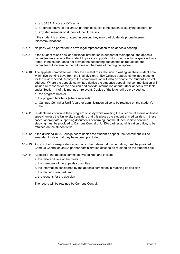- a. a USASA Advocacy Officer, or
- b. a representative of the UniSA partner institution if the student is studying offshore, or
- c. any staff member or student of the University.

If the student is unable to attend in person, they may participate via phone/internet telecommunications.

- 10.4.7 No party will be permitted to have legal representation at an appeals hearing.
- 10.4.8 If the student raises new or additional information in support of their appeal, the appeals committee may require the student to provide supporting documents within a specified time frame. If the student does not provide the supporting documents as requested, the committee will determine the outcome on the basis of the original appeal.
- 10.4.10 The appeals committee will notify the student of its decision in writing via their student email within five working days from the final division/UniSA College appeals committee meeting for the review period. A copy of the communication will also be sent to the student's postal address. Where the appeals committee denies the student's appeal, the communication will include all reasons for the decision and provide information about further appeals available under Section 11 of this manual, if relevant. Copies of the letter will be provided to:
	- a. the program director
	- b. the program facilitator (where relevant)
	- b. Campus Central or UniSA partner administration office to be retained on the student's file.
- 10.4.11 Students may continue their program of study while awaiting the outcome of a division board appeal, unless the University considers that this places the student at medical risk. In these cases, appropriate supporting documents confirming that the student is fit to continue studying must be provided to Campus Central or UniSA partner administration office, to be retained on the student's file.
- 10.4.12 If the division/UniSA College board denies the student's appeal, their enrolment will be amended to state that they have been precluded.
- 10.4.13 A copy of all correspondence, and any other relevant documentation, must be provided to Campus Central or UniSA partner administration office to be retained on the student's file.
- 10.4.14 A record of the appeals committee will be kept and include:
	- a. the date and time of the meeting
	- b. the members of the appeals committee
	- c. the information considered by the appeals committee in reaching its decision
	- d. the decision reached, and
	- e. the reasons for the decision

The record will be retained by Campus Central.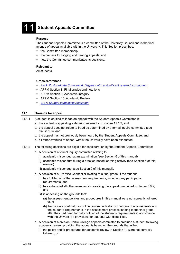## **Student Appeals Committee**

#### <span id="page-57-0"></span>**Purpose**

The Student Appeals Committee is a committee of the University Council and is the final avenue of appeal available within the University. This Section prescribes:

- the Committee membership
- the process for lodging and hearing appeals, and
- how the Committee communicates its decisions.

#### **Relevant to**

All students.

#### **Cross-references**

- *[A-49: Postgraduate Coursework Degrees with a significant research component](https://i.unisa.edu.au/policies-and-procedures/university-policies/academic/a-49/)*
- **APPM Section 8: Final grades and notations**
- **APPM Section 9: Academic Integrity**
- **APPM Section 10: Academic Review**
- *C-17: [Student complaints resolution](https://i.unisa.edu.au/policies-and-procedures/university-policies/corporate/c-17/)*

#### <span id="page-57-1"></span>**11.1 Grounds for appeal**

- 11.1.1 A student is entitled to lodge an appeal with the Student Appeals Committee if:
	- a. the student is appealing a decision referred to in clause 11.1.2, and
	- b. the appeal does not relate to fraud as determined by a formal inquiry committee (see clause 9.6), and
	- c. the appeal has not previously been heard by the Student Appeals Committee, and
	- d. all other avenues of appeal within the University have been exhausted.
- 11.1.2 The following decisions are eligible for consideration by the Student Appeals Committee:
	- a. A decision of a formal inquiry committee relating to:
		- i) academic misconduct at an examination (see Section 6 of this manual)
		- ii) academic misconduct during a practice-based learning activity (see Section 4 of this manual)
		- iii) academic misconduct (see Section 9 of this manual).
	- b. A decision of a Pro Vice Chancellor relating to a final grade, if the student:
		- i) has fulfilled all of the assessment requirements, including any participation requirements, and
		- ii) has exhausted all other avenues for resolving the appeal prescribed in clause 8.6.2, and
		- iii) is appealing on the grounds that:
			- (a) the assessment policies and procedures in this manual were not correctly adhered to, or
			- (b) the course coordinator or online course facilitator did not give due consideration to the student's requirements in the assessment process leading to the final grade, after they had been formally notified of the student's requirements in accordance with the University's provisions for students with disabilities.
	- c. A decision of a division/UniSA College appeals committee to preclude a student following academic review, providing the appeal is based on the grounds that either:
		- i) the policy and/or procedures for academic review in Section 10 were not correctly followed, or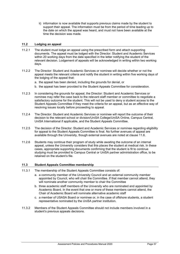ii) information is now available that supports previous claims made by the student to support their appeal. The information must be from the period of time leading up to the date on which the appeal was heard, and must not have been available at the time the decision was made.

#### <span id="page-58-0"></span>**11.2 Lodging an appeal**

- 11.2.1 The student must lodge an appeal using the prescribed form and attach supporting documents. The appeal must be lodged with the Director: Student and Academic Services within 20 working days from the date specified in the letter notifying the student of the relevant decision. Lodgement of appeals will be acknowledged in writing within two working days.
- 11.2.2 The Director: Student and Academic Services or nominee will decide whether or not the appeal meets the relevant criteria and notify the student in writing within five working days of the lodging of the appeal that:
	- a. the appeal has been denied, including the grounds for denial, or
	- b. the appeal has been provided to the Student Appeals Committee for consideration.
- 11.2.3 In considering the grounds for appeal, the Director: Student and Academic Services or nominee may refer the case back to the relevant staff member or committee to negotiate a satisfactory outcome for the student. This will not be used to deny a student access to the Student Appeals Committee if they meet the criteria for an appeal, but as an effective way of resolving issues locally before proceeding to appeal.
- 11.2.4 The Director: Student and Academic Services or nominee will report the outcome of their decision to the relevant school or division/UniSA College/UniSA Online, Campus Central, UniSA International if applicable, and the Student Appeals Committee.
- 11.2.5 The decision of the Director: Student and Academic Services or nominee regarding eligibility for appeal to the Student Appeals Committee is final. No further avenues of appeal are available through the University, though external avenues are noted at clause 11.6.
- 11.2.6 Students may continue their program of study while awaiting the outcome of an internal appeal, unless the University considers that this places the student at medical risk. In these cases, appropriate supporting documents confirming that the student is fit to continue studying must be provided to Campus Central or UniSA partner administration office, to be retained on the student's file.

#### <span id="page-58-1"></span>**11.3 Student Appeals Committee membership**

- 11.3.1 The membership of the Student Appeals Committee consists of:
	- a. a community member of the University Council and an external community member appointed by Council, who will chair the Committee. If that member cannot attend, they will nominate another community member to chair the Committee
	- b. three academic staff members of the University who are nominated and appointed by Academic Board. In the event that one or more of these members cannot attend, the Chair of Academic Board will nominate alternative academic staff
	- c. a member of USASA Board or nominee or, in the case of offshore students, a student representative nominated by the UniSA partner institution.
- 11.3.2 Members of the Student Appeals Committee should not include members involved in a student's previous appeals decisions.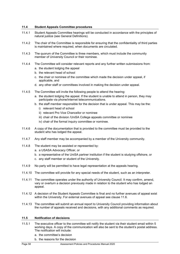#### <span id="page-59-0"></span>**11.4 Student Appeals Committee procedures**

- 11.4.1 Student Appeals Committee hearings will be conducted in accordance with the principles of natural justice (see General Definitions).
- 11.4.2 The chair of the Committee is responsible for ensuring that the confidentiality of third parties is maintained where required, when documents are circulated.
- 11.4.3 The quorum of the Committee is three members, which must include the community member of University Council or their nominee.
- 11.4.4 The Committee will consider relevant reports and any further written submissions from:
	- a. the student lodging the appeal
	- b. the relevant head of school
	- c. the chair or nominee of the committee which made the decision under appeal, if applicable, and
	- d. any other staff or committees involved in making the decision under appeal.
- 11.4.5 The Committee will invite the following people to attend the hearing:
	- a. the student lodging the appeal. If the student is unable to attend in person, they may participate via phone/internet telecommunications.
	- b. the staff member responsible for the decision that is under appeal. This may be the:
		- i) relevant head of school
		- ii) relevant Pro Vice Chancellor or nominee
		- iii) chair of the division /UniSA College appeals committee or nominee
		- iv) chair of the formal inquiry committee or nominee.
- 11.4.6 A copy of the documentation that is provided to the committee must be provided to the student who has lodged the appeal.
- 11.4.7 Any staff member may be accompanied by a member of the University community.
- 11.4.8 The student may be assisted or represented by:
	- a. a USASA Advocacy Officer, or
	- b. a representative of the UniSA partner institution if the student is studying offshore, or
	- c. any staff member or student of the University.
- 11.4.9 No party will be permitted to have legal representation at the appeals hearing.
- 11.4.10 The committee will provide for any special needs of the student, such as an interpreter.
- 11.4.11 The committee operates under the authority of University Council. It may confirm, amend, vary or overturn a decision previously made in relation to the student who has lodged an appeal.
- 11.4.12 A decision of the Student Appeals Committee is final and no further avenues of appeal exist within the University. For external avenues of appeal see clause 11.6.
- 11.4.13 The committee will submit an annual report to University Council providing information about the number of appeals received and decisions, with any additional comments as required.

#### <span id="page-59-1"></span>**11.5 Notification of decisions**

- 11.5.1 The executive officer to the committee will notify the student via their student email within 5 working days. A copy of the communication will also be sent to the student's postal address. The notification will include:
	- a. the committee's decision
	- b. the reasons for the decision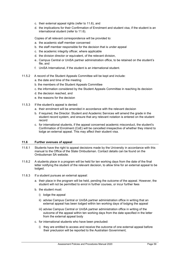- c. their external appeal rights (refer to 11.6), and
- d. the implications for their Confirmation of Enrolment and student visa, if the student is an international student (refer to 11.6).

Copies of all relevant correspondence will be provided to:

- a. the academic staff member concerned
- b. the staff member responsible for the decision that is under appeal
- c. the academic integrity officer, where applicable
- d. the division director or equivalent, of the relevant division,
- e.. Campus Central or UniSA partner administration office, to be retained on the student's file, and
- f. UniSA International, if the student is an international student.
- 11.5.2 A record of the Student Appeals Committee will be kept and include:
	- a. the date and time of the meeting
	- b. the members of the Student Appeals Committee
	- c. the information considered by the Student Appeals Committee in reaching its decision
	- d. the decision reached, and
	- e. the reasons for the decision
- 11.5.3 If the student's appeal is denied:
	- a. their enrolment will be amended in accordance with the relevant decision
	- b. if required, the Director: Student and Academic Services will amend the grade in the student record system, and ensure that any relevant notation is entered on the student record
	- c. for international students, if the appeal concerned academic misconduct, the student's Confirmation of Enrolment (CoE) will be cancelled irrespective of whether they intend to lodge an external appeal. This may affect their student visa.

#### <span id="page-60-0"></span>**11.6 Further avenues of appeal**

- 11.6.1 Students have the right to appeal decisions made by the University in accordance with this manual to the Office of the State Ombudsman. Contact details can be found on the Ombudsman SA website.
- 11.6.2 A students place in a program will be held for ten working days from the date of the final letter notifying the student of the relevant decision, to allow time for an external appeal to be lodged.
- 11.6.3 If a student pursues an external appeal:
	- a. their place in the program will be held, pending the outcome of the appeal. However, the student will not be permitted to enrol in further courses, or incur further fees
	- b. the student must:
		- i) lodge the appeal
		- ii) advise Campus Central or UniSA partner administration office in writing that an external appeal has been lodged within ten working days of lodging the appeal
		- iii) advise Campus Central or UniSA partner administration office in writing of the outcome of the appeal within ten working days from the date specified in the letter from the external appeal body
	- c. for international students who have been precluded:
		- i) they are entitled to access and receive the outcome of one external appeal before their preclusion will be reported to the Australian Government;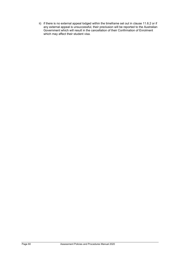ii) if there is no external appeal lodged within the timeframe set out in clause 11.6.2 or if any external appeal is unsuccessful, their preclusion will be reported to the Australian Government which will result in the cancellation of their Confirmation of Enrolment which may affect their student visa.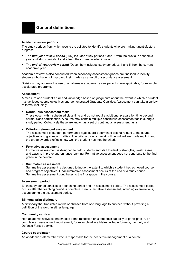#### <span id="page-62-0"></span>**Academic review periods**

The study periods from which results are collated to identify students who are making unsatisfactory progress.

- The *mid-year review period* (July) includes study periods 6 and 7 from the previous academic year and study periods 1 and 2 from the current academic year.
- The *end-of-year review period* (December) includes study periods 3, 4 and 5 from the current academic year.

Academic review is also conducted when secondary assessment grades are finalised to identify students who have not improved their grades as a result of secondary assessment.

Divisions may approve the use of an alternate academic review period where applicable, for example accelerated programs.

#### **Assessment**

A measure of a student's skill and knowledge based on judgments about the extent to which a student has achieved course objectives and demonstrated Graduate Qualities. Assessment can take a variety of forms, including:

#### **Continuous assessment tasks**

These occur within scheduled class time and do not require additional preparation time beyond normal class participation. A course may contain multiple continuous assessment tasks during a study period. Collectively these are known as a set of continuous assessment tasks.

#### **Criterion referenced assessment**

The assessment of student performance against pre-determined criteria related to the course objectives and graduate qualities. The criteria by which work will be judged are made explicit and the grade awarded reflects how well the student has met the criteria.

#### **Formative assessment**

Formative assessment is designed to help students and staff to identify strengths, weaknesses and ways to improve and enhance learning. Formative assessment does not contribute to the final grade in the course.

#### **Summative assessment**

Summative assessment is designed to judge the extent to which a student has achieved course and program objectives. Final summative assessment occurs at the end of a study period. Summative assessment contributes to the final grade in the course.

#### **Assessment period**

Each study period consists of a teaching period and an assessment period. The assessment period occurs after the teaching period is complete. Final summative assessment, including examinations, occurs during the assessment period.

#### **Bilingual print dictionary**

A dictionary that translates words or phrases from one language to another, without providing a definition of the word in either language.

#### **Community service**

Non-academic activities that impose some restriction on a student's capacity to participate in, or complete an assessment requirement, for example elite athletes, elite performers, jury duty and Defence Forces service.

#### **Course coordinator**

An academic staff member who is responsible for the academic management of a course.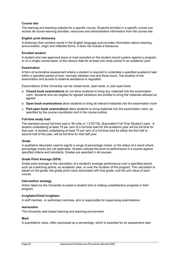#### **Course site**

The learning and teaching website for a specific course. Students enrolled in a specific course can access all course learning activities, resources and administrative information from the course site.

#### **English print dictionary**

A dictionary that contains words in the English language and provides information about meaning, pronunciation, origin and inflected forms. It does not include a thesaurus.

#### **Enrolled student**

A student who has approved leave or load recorded on the student record system against a program, or on a single course basis, at the census date for at least one study period in an academic year.

#### **Examination**

A form of summative assessment where a student is required to undertake a specified academic task within a specified period of time, normally between one and three hours. The location of the examination and access to external assistance is regulated.

Examinations of the University can be closed book, open book, or part-open book:

- a. **Closed book examinations** do not allow students to bring any materials into the examination room. Students who are eligible for agreed variations are entitled to bring the materials allowed as agreed
- b. **Open book examinations** allow students to bring all relevant materials into the examination room
- c. **Part-open book examinations** allow students to bring materials into the examination room, as specified by the course coordinator and in the course outline.

#### **Full-time study load**

The standard annual full-time load is 36 units or 1.0 EFTSL (Equivalent Full-Time Student Load). A student undertaking at least 75 per cent of a full-time load for the academic year will be full-time for that year. A student undertaking at least 75 per cent of a full-time load for either the first half or second half of the year, will be full-time for that half year.

#### **Grade**

A qualitative descriptor used to signify a range of percentage marks, or the status of a result where percentage marks are not applicable. Grades indicate the level of performance in a course against specified criteria and standards. Grades are awarded in all courses.

#### **Grade Point Average (GPA)**

Grade point average is the calculation of a student's average performance over a specified period, such as a teaching period, an academic year, or over the duration of the program. The calculation is based on the grade, the grade point value associated with that grade, and the unit value of each course.

#### **Intervention strategy**

Action taken by the University to assist a student who is making unsatisfactory progress in their program.

#### **Invigilator/Chief invigilator**

A staff member, or authorised nominee, who is responsible for supervising examinations.

#### *learnonline*

The University web-based learning and teaching environment.

#### **Mark**

A quantitative value, often expressed as a percentage, which is awarded for an assessment task.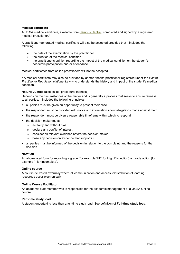#### **Medical certificate**

A UniSA medical certificate, available from [Campus Central,](https://i.unisa.edu.au/campus-central/Student-Forms/Student-Forms-2/) completed and signed by a registered medical practitioner.\*

A practitioner generated medical certificate will also be accepted provided that it includes the following:

- the date of the examination by the practitioner
- the duration of the medical condition
- the practitioner's opinion regarding the impact of the medical condition on the student's academic participation and/or attendance

Medical certificates from online practitioners will not be accepted.

\* A medical certificate may also be provided by another health practitioner registered under the *Health Practitioner Regulation National Law* who understands the history and impact of the student's medical condition.

#### **Natural Justice** (also called 'procedural fairness')

Depends on the circumstances of the matter and is generally a process that seeks to ensure fairness to all parties. It includes the following principles:

- all parties must be given an opportunity to present their case
- the respondent must be provided with notice and information about allegations made against them
- the respondent must be given a reasonable timeframe within which to respond
- the decision maker must:
	- $\circ$  act fairly and without bias
	- o declare any conflict of interest
	- o consider all relevant evidence before the decision maker
	- o base any decision on evidence that supports it
- all parties must be informed of the decision in relation to the complaint, and the reasons for that decision.

#### **Notation**

An abbreviated form for recording a grade (for example 'HD' for High Distinction) or grade action (for example 'I' for Incomplete).

#### **Online course**

A course delivered externally where all communication and access to/distribution of learning resources occur electronically.

#### **Online Course Facilitator**

An academic staff member who is responsible for the academic management of a UniSA Online course.

#### **Part-time study load**

A student undertaking less than a full-time study load. See definition of **Full-time study load**.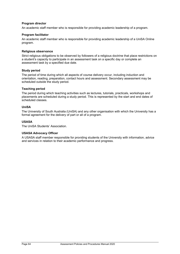#### **Program director**

An academic staff member who is responsible for providing academic leadership of a program.

#### **Program facilitator**

An academic staff member who is responsible for providing academic leadership of a UniSA Online program.

#### **Religious observance**

Strict religious obligations to be observed by followers of a religious doctrine that place restrictions on a student's capacity to participate in an assessment task on a specific day or complete an assessment task by a specified due date.

#### **Study period**

The period of time during which all aspects of course delivery occur, including induction and orientation, reading, preparation, contact hours and assessment. Secondary assessment may be scheduled outside the study period.

#### **Teaching period**

The period during which teaching activities such as lectures, tutorials, practicals, workshops and placements are scheduled during a study period. This is represented by the start and end dates of scheduled classes.

#### **UniSA**

The University of South Australia (UniSA) and any other organisation with which the University has a formal agreement for the delivery of part or all of a program.

#### **USASA**

The UniSA Students' Association.

#### **USASA Advocacy Officer**

A USASA staff member responsible for providing students of the University with information, advice and services in relation to their academic performance and progress.